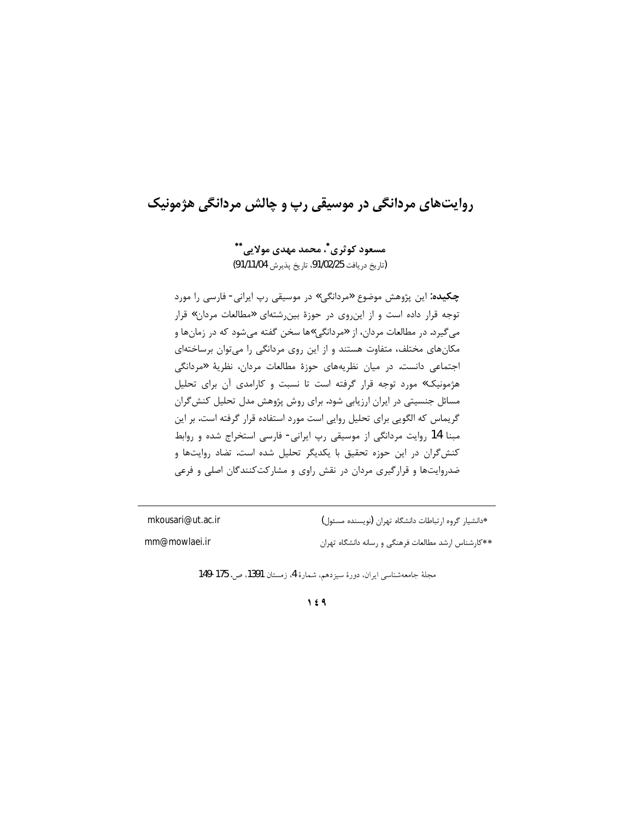# روايتهاي مردانگي در موسيقي رپ و چالش مردانگي هژمونيک

مسعود کوثری ؓ، محمد مهدی مولایی ؓ (تاريخ دريافت 91/02/25، تاريخ پذيرش 91/11/04)

چکیده: این پژوهش موضوع «مردانگی» در موسیقی رپ ایرانی- فارسی را مورد توجه قرار داده است و از این روی در حوزهٔ بین رشتهای «مطالعات مردان» قرار میگیرد. در مطالعات مردان، از «مردانگی»ها سخن گفته میشود که در زمانها و مکانهای مختلف، متفاوت هستند و از این روی مردانگی را میتوان برساختهای اجتماعی دانست. در میان نظریههای حوزهٔ مطالعات مردان، نظریهٔ «مردانگی هژمونیک» مورد توجه قرار گرفته است تا نسبت و کارامدی آن برای تحلیل مسائل جنسیتی در ایران ارزیابی شود. برای روش پژوهش مدل تحلیل کنش گران گریماس که الگویی برای تحلیل روایی است مورد استفاده قرار گرفته است. بر این مبنا 14 روايت مردانگي از موسيقى رپ ايراني- فارسي استخراج شده و روابط کنش گران در این حوزه تحقیق با یکدیگر تحلیل شده است. تضاد روایتها و ضدروایتها و قرارگیری مردان در نقش راوی و مشارکتکنندگان اصلی و فرعی

mkousari@ut.ac.ir mm@mowlaei.ir

\*دانشیار گروه ارتباطات دانشگاه تهران (نویسنده مسئول)

\*\*کارشناس ارشد مطالعات فرهنگی و رسانه دانشگاه تهران

مجلة جامعهشناسي ايران، دورة سيزدهم، شمارة 4، زمستان 1391، ص. 175-149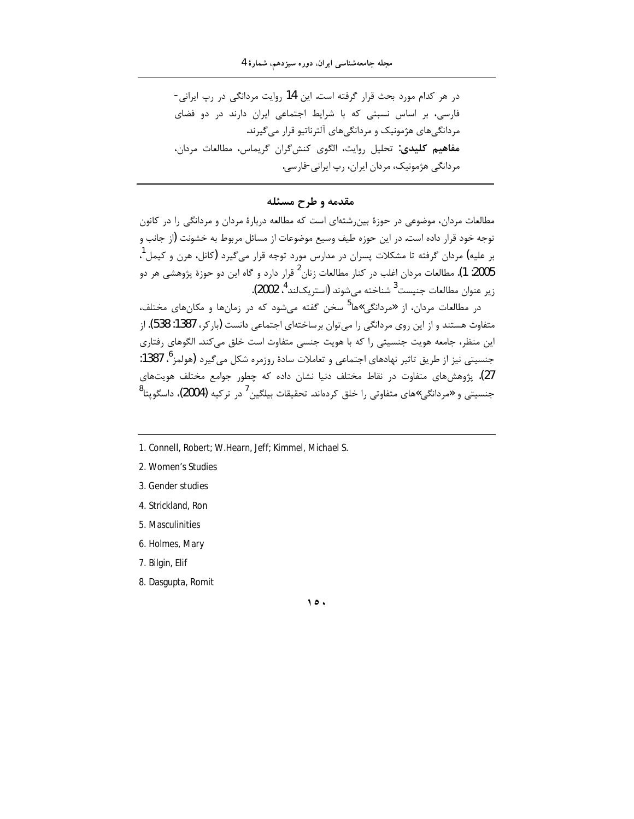در هر کدام مورد بحث قرار گرفته است. این 14 روایت مردانگی در رپ ایرانی-فارسی، بر اساس نسبتی که با شرایط اجتماعی ایران دارند در دو فضای مردانگی های هژمونیک و مردانگی های آلترناتیو قرار می گیرند. مفاهيم كليدى: تحليل روايت، الكوى كنش كران كريماس، مطالعات مردان، مردانگی هژمونیک، مردان ایران، رپ ایرانی -فارسی.

## مقدمه و طرح مسئله

مطالعات مردان، موضوعی در حوزهٔ بین٫شتهای است که مطالعه دربارهٔ مردان و مردانگی را در کانون توجه خود قرار داده است. در این حوزه طیف وسیع موضوعات از مسائل مربوط به خشونت (از جانب و بر عليه) مردان گرفته تا مشكلات پسران در مدارس مورد توجه قرار ميگيرد (كانل، هرن و كيمل<sup>1</sup>، 2005: 1). مطالعات مردان اغلب در کنار مطالعات زنان<sup>2</sup> قرار دارد و گاه این دو حوزهٔ پژوهشی هر دو زير عنوان مطالعات جنيست<sup>3</sup> شناخته مي شوند (استريك لند<sup>4</sup>، 2002).

در مطالعات مردان، از «مردانگی»ها<sup>5</sup> سخن گفته می شود که در زمانها و مکانهای مختلف، متفاوت هستند و از این روی مردانگی را میتوان برساختهای اجتماعی دانست (بارکر، 1387: 538). از این منظر، جامعه هویت جنسیتی را که با هویت جنسی متفاوت است خلق می کند. الگوهای ,فتاری جنسیتی نیز از طریق تاثیر نهادهای اجتماعی و تعاملات سادهٔ روزمره شکل میگیرد (هولمز<sup>6</sup>، 1387: 27). پژوهشهای متفاوت در نقاط مختلف دنیا نشان داده که چطور جوامع مختلف هویتهای جنسیتی و «مردانگی»های متفاوتی را خلق کردهاند. تحقیقات بیلگین<sup>7</sup> در ترکیه **(2004)،** داسگویتا<sup>8</sup>

- 1. Connell, Robert: W.Hearn, Jeff: Kimmel, Michael S.
- 2. Women's Studies
- 3. Gender studies
- 4. Strickland, Ron
- 5. Masculinities
- 6. Holmes, Mary
- 7. Bilgin, Elif
- 8. Dasqupta, Romit

 $\lambda$ .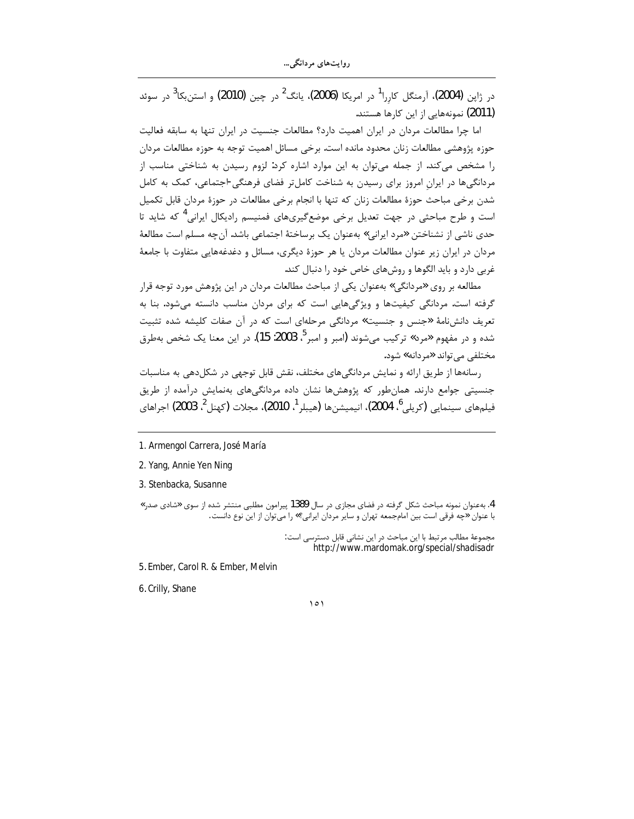در ژاپن (2004)، آرمنگل کاررا<sup>1</sup> در امریکا (2006)، یانگ<sup>2</sup> در چین (2010) و استنبکا<sup>3</sup> در سوئد (2011) نمونههایی از این کارها هستند.

اما چرا مطالعات مردان در ایران اهمیت دارد؟ مطالعات جنسیت در ایران تنها به سابقه فعالیت حوزه پژوهشی مطالعات زنان محدود مانده است. برخی مسائل اهمیت توجه به حوزه مطالعات مردان را مشخص می کند. از جمله می توان به این موارد اشاره کرد: لزوم رسیدن به شناختی مناسب از مردانگیها در ایران امروز برای رسیدن به شناخت کاملتر فضای فرهنگی اجتماعی، کمک به کامل شدن برخی مباحث حوزهٔ مطالعات زنان که تنها با انجام برخی مطالعات در حوزهٔ مردان قابل تکمیل است و طرح مباحثی در جهت تعدیل برخی موضع *گ*یریهای فمنیسم رادیکال ایرانی<sup>4</sup> که شاید تا حدی ناشی از نشناختن «مرد ایرانی» بهعنوان یک برساختهٔ اجتماعی باشد. آنچه مسلم است مطالعهٔ مردان در ایران زیر عنوان مطالعات مردان یا هر حوزهٔ دیگری، مسائل و دغدغههایی متفاوت با جامعهٔ غربي دارد و بايد الگوها و روشهاي خاص خود را دنبال كند.

مطالعه بر روی «مردانگی» بهعنوان یکی از مباحث مطالعات مردان در این پژوهش مورد توجه قرار گرفته است. مردانگی کیفیتها و ویژگیهایی است که برای مردان مناسب دانسته می شود. بنا به تعریف دانشنامهٔ «جنس و جنسیت» مردانگی مرحلهای است که در آن صفات کلیشه شده تثبیت شده و در مفهوم «مرد» ترکیب میشوند (امبر و امبر<sup>ه</sup>، 2003: 15). در این معنا یک شخص بهطرق مختلفی می تواند «مردانه» شود.

رسانهها از طریق ارائه و نمایش مردانگیهای مختلف، نقش قابل توجهی در شکل دهی به مناسبات جنسیتی جوامع دارند. همانطور که پژوهشها نشان داده مردانگیهای بهنمایش درآمده از طریق فيلمهاي سينمايي (كريلي<sup>6</sup>، 2004)، انيميشنها (هيبلر<sup>1</sup>، 2010)، مجلات (كهنل<sup>2</sup>، 2003) اجراهاي

2. Yang, Annie Yen Ning

3. Stenbacka, Susanne

4. به عنوان نمونه مباحث شکل گرفته در فضای مجازی در سال 1389 پیرامون مطلبی منتشر شده از سوی «شادی صدر» با عنوان «چه فرقی است بین امامجمعه تهران و سایر مردان ایرانی؟» را می توان از این نوع دانست.

> مجموعهٔ مطالب مرتبط با این مباحث در این نشانی قابل دسترسی است: http://www.mardomak.org/special/shadisadr

5. Ember, Carol R. & Ember, Melvin

6. Crilly, Shane

<sup>1.</sup> Armengol Carrera, José María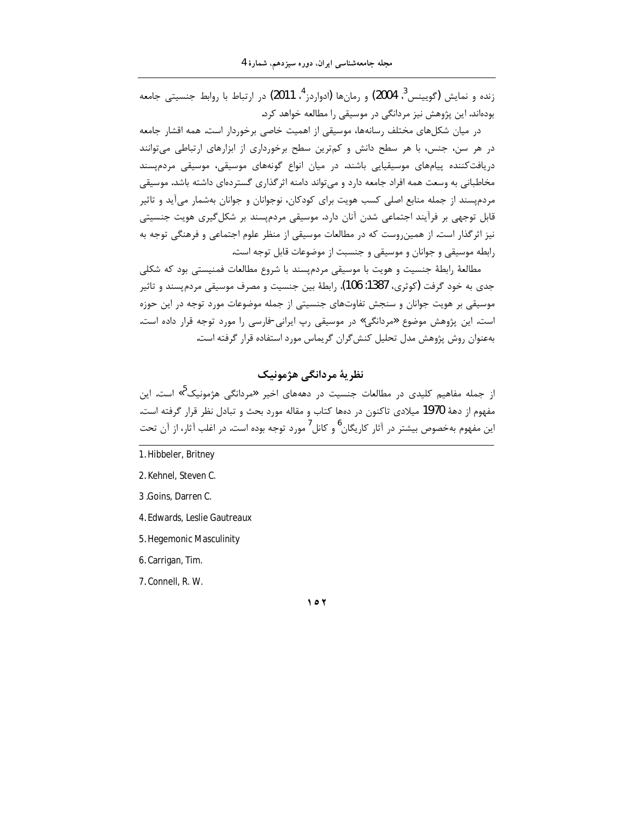;نده و نمايش (گويينس<sup>3</sup>، 2004) و رمانها (ادواردز<sup>4</sup>، 2011) در ارتباط با روابط جنسيتي جامعه بودهاند. این پژوهش نیز مردانگی در موسیقی را مطالعه خواهد کرد.

د, میان شکلهای مختلف ,سانهها، موسیقی از اهمیت خاصی برخوردار است. همه اقشار جامعه در هر سن، جنس، با هر سطح دانش و كمترين سطح برخوردارى از ابزارهاى ارتباطى مى توانند دریافتکننده پیامهای موسیقیایی باشند. در میان انواع گونههای موسیقی، موسیقی مردم پسند مخاطبانی به وسعت همه افراد جامعه دارد و می تواند دامنه اثر گذاری گستردهای داشته باشد. موسیقی مردمیسند از جمله منابع اصلی کسب هویت برای کودکان، نوجوانان و جوانان بهشمار می آید و تاثیر قابل توجهی بر فرآیند اجتماعی شدن آنان دارد. موسیقی مردمپسند بر شکل گیری هویت جنسیتی نیز اثر گذار است. از همین٫وست که در مطالعات موسیقی از منظر علوم اجتماعی و فرهنگی توجه به رابطه موسيقى و جوانان و موسيقى و جنسبت از موضوعات قابل توجه است.

مطالعهٔ رابطهٔ جنسیت و هویت با موسیقی مردمیسند با شروع مطالعات فمنیستی بود که شکلی جدي به خود گرفت (کوثري، 1387: 106). رابطهٔ بين جنسيت و مصرف موسيقي مردم پسند و تاثير موسیقی بر هویت جوانان و سنجش تفاوتهای جنسیتی از جمله موضوعات مورد توجه در این حوزه است. این پژوهش موضوع «مردانگی» در موسیقی رپ ایرانی-فارسی را مورد توجه قرار داده است. بهعنوان روش پژوهش مدل تحلیل کنش گران گریماس مورد استفاده قرار گرفته است.

# نظريهٔ مردانگي هژمونيک

از جمله مفاهیم کلیدی در مطالعات جنسیت در دهههای اخیر «مردانگی هژمونیک<sup>3</sup>» است. این مفهوم از دههٔ 1970 میلادی تاکنون در دهها کتاب و مقاله مورد بحث و تبادل نظر قرار گرفته است. این مفهوم بهخصوص بیشتر در آثار کاریگان<sup>6</sup> و کانل<sup>7</sup> مورد توجه بوده است. در اغلب آثار، از آن تحت

- 3. Goins, Darren C.
- 4. Edwards, Leslie Gautreaux
- 5. Hegemonic Masculinity
- 6. Carrigan, Tim.
- 7. Connell, R. W.

<sup>1.</sup> Hibbeler, Britney

<sup>2.</sup> Kehnel, Steven C.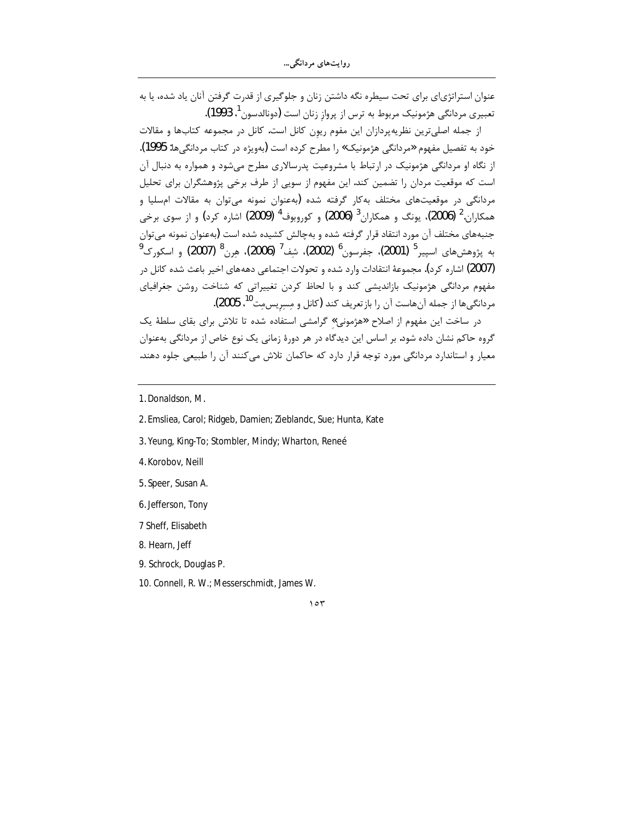روايتهاي مردانگي…

عنوان استراتژیای برای تحت سیطره نگه داشتن زنان و جلوگیری از قدرت گرفتن آنان یاد شده، یا به تعبیری مردانگی هژمونیک مربوط به ترس از پرواز زنان است (دونالدسون <sup>1</sup>، 1993).

از جمله اصلیترین نظریهپردازان این مفوم ریون کانل است. کانل در مجموعه کتابها و مقالات خود به تفصیل مفهوم «مردانگی هژمونیک» را مطرح کرده است (بهویژه در کتاب مردانگیها: 1995). از نگاه او مردانگی هژمونیک در ارتباط با مشروعیت پدرسالاری مطرح میشود و همواره به دنبال آن است که موقعیت مردان را تضمین کند. این مفهوم از سویی از طرف برخی پژوهشگران برای تحلیل مردانگه ور موقعیتهای مختلف بهکار گرفته شده (بهعنوان نمونه میتوان به مقالات امسلیا و همکاران.<sup>2</sup> (2006)، یونگ و همکاران<sup>3</sup> (2006) و کوروبوف<sup>4</sup> (2009) اشاره کرد) و از سوی برخی جنبههای مختلف آن مورد انتقاد قرار گرفته شده و بهچالش کشیده شده است (بهعنوان نمونه می توان به پژوهشهای اسپیر<sup>5</sup> (2001)، جفرسون<sup>6</sup> (2002)، شف<sup>7</sup> (2006)، هرن<sup>8</sup> (2007) و اسکورک<sup>9</sup> (2007) اشاره کرد). مجموعهٔ انتقادات وارد شده و تحولات اجتماعی دهههای اخیر باعث شده کانل در .<br>مفهوم مردانگی هژمونیک بازاندیشی کند و با لحاظ کردن تغییراتی که شناخت <sub>ر</sub>وشن جغرافیای مردانگیها از جمله آنهاست آن را بازتعریف کند (کانل و مسریسمت<sup>10</sup>، 2005).

در ساخت این مفهوم از اصلاح «هژمونی» گرامشی استفاده شده تا تلاش برای بقای سلطهٔ یک گروه حاکم نشان داده شود. بر اساس این دیدگاه در هر دورهٔ زمانی یک نوع خاص از مردانگی بهعنوان معیار و استاندارد مردانگی مورد توجه قرار دارد که حاکمان تلاش می کنند آن را طبیعی جلوه دهند.

- 3. Yeung, King-To; Stombler, Mindy; Wharton, Reneé
- 4. Korobov, Neill
- 5. Speer, Susan A.
- 6. Jefferson, Tony
- 7 Sheff, Elisabeth
- 8. Hearn, Jeff
- 9. Schrock, Douglas P.
- 10. Connell, R. W.; Messerschmidt, James W.

<sup>1.</sup> Donaldson, M.

<sup>2.</sup> Emsliea, Carol; Ridgeb, Damien; Zieblandc, Sue; Hunta, Kate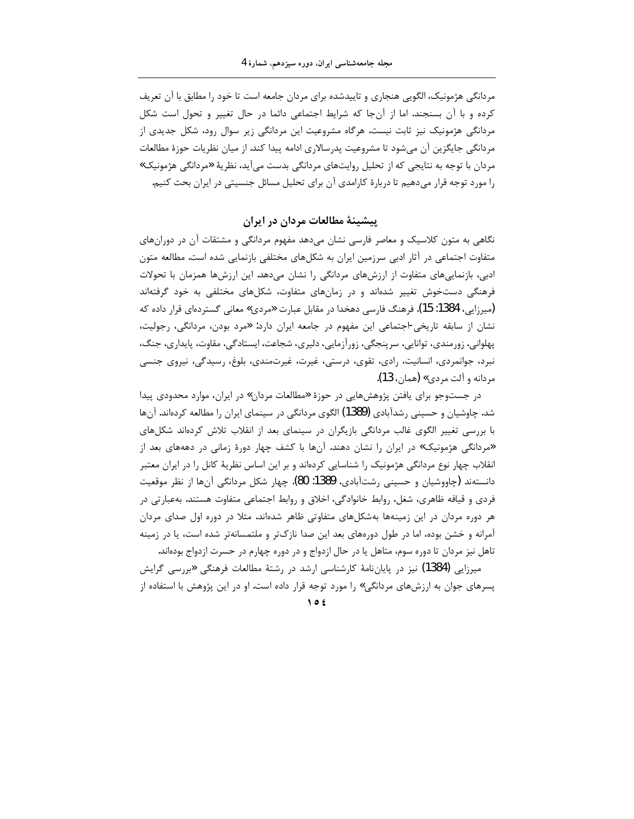مردانگی هژمونیک، الگویی هنجاری و تاییدشده برای مردان جامعه است تا خود را مطابق با آن تعریف کرده و با آن بسنجند. اما از آنجا که شرایط اجتماعی دائما در حال تغییر و تحول است شکل مردانگی هژمونیک نیز ثابت نیست. هرگاه مشروعیت این مردانگی زیر سوال رود، شکل جدیدی از مردانگی جایگزین آن میشود تا مشروعیت پدرسالاری ادامه پیدا کند. از میان نظریات حوزهٔ مطالعات مردان با توجه به نتایجی که از تحلیل روایتهای مردانگی بدست میآید، نظریهٔ «مردانگی هژمونیک» را مورد توجه قرار میدهیم تا دربارهٔ کارامدی آن برای تحلیل مسائل جنسیتی در ایران بحث کنیم.

پیشینهٔ مطالعات مردان در ایران

نگاهی به متون کلاسیک و معاصر فارسی نشان میدهد مفهوم مردانگی و مشتقات آن در دورانهای متفاوت اجتماعی در آثار ادبی سرزمین ایران به شکلهای مختلفی بازنمایی شده است. مطالعه متون ادبی، بازنماییهای متفاوت از ارزشهای مردانگی را نشان میدهد. این ارزشها همزمان با تحولات فرهنگی دستخوش تغییر شدهاند و در زمانهای متفاوت، شکلهای مختلفی به خود گرفتهاند (میرزایی، 1384: 15). فرهنگ فارسی دهخدا در مقابل عبارت «مردی» معانی گستردهای قرار داده که نشان از سابقه تاریخی-اجتماعی این مفهوم در جامعه ایران دارد: «مرد بودن، مردانگی، رجولیت، پهلوانی، زورمندی، توانایی، سرپنجگی، زورآزمایی، دلیری، شجاعت، ایستادگی، مقاوت، پایداری، جنگ، نبرد، جوانمردی، انسانیت، رادی، تقوی، درستی، غیرت، غیرتمندی، بلوغ، رسیدگی، نیروی جنسی مردانه و آلت مردي» (همان، 13).

در جستوجو برای یافتن پژوهشهایی در حوزهٔ «مطالعات مردان» در ایران، موارد محدودی پیدا شد. چاوشیان و حسینی رشدآبادی (1389) الگوی مردانگی در سینمای ایران را مطالعه کردهاند. آنها با بررسی تغییر الگوی غالب مردانگی بازیگران در سینمای بعد از انقلاب تلاش کردهاند شکلهای «مردانگی هژمونیک» در ایران را نشان دهند. آنها با کشف چهار دورهٔ زمانی در دهههای بعد از انقلاب چهار نوع مردانگی هژمونیک را شناسایی کردهاند و بر این اساس نظریهٔ کانل را در ایران معتبر دانستەند (چاووشیان و حسینی رشتآبادی، 1389: 80). چهار شکل مردانگی آنها از نظر موقعیت فردی و قیافه ظاهری، شغل، روابط خانوادگی، اخلاق و روابط اجتماعی متفاوت هستند. بهعبارتی در هر دوره مردان در این زمینهها بهشکلهای متفاوتی ظاهر شدهاند. مثلا در دوره اول صدای مردان آمرانه و خشن بوده، اما در طول دورههای بعد این صدا نازکتر و ملتمسانهتر شده است، یا در زمینه تاهل نیز مردان تا دوره سوم، متاهل یا در حال ازدواج و در دوره چهارم در حسرت ازدواج بودهاند.

میرزایی (1384) نیز در پایانِ نامهٔ کارشناسی ارشد در رشتهٔ مطالعات فرهنگی «بررسی گرایش پسرهای جوان به ارزشهای مردانگی» را مورد توجه قرار داده است. او در این پژوهش با استفاده از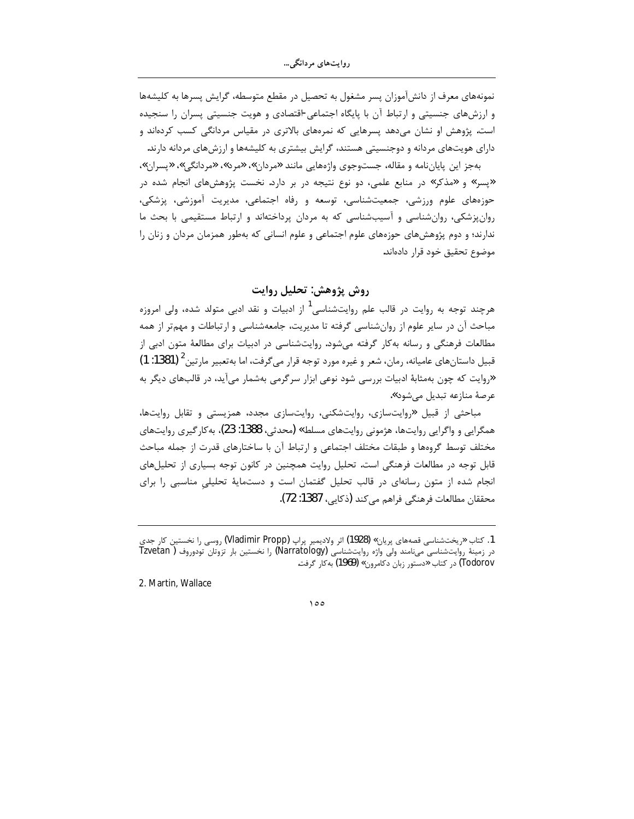روايتهاي مردانگي…

نمونههای معرف از دانشآموزان پسر مشغول به تحصیل در مقطع متوسطه، گرایش پسرها به کلیشهها و ارزشهای جنسیتی و ارتباط آن با پایگاه اجتماعی اقتصادی و هویت جنسیتی پسران را سنجیده است. پژوهش او نشان میدهد پسرهایی که نمرههای بالاتری در مقیاس مردانگی کسب کردهاند و دارای هویتهای مردانه و دوجنسیتی هستند، گرایش بیشتری به کلیشهها و ارزشهای مردانه دارند.

بهجز اين پاياننامه و مقاله، جستوجوي واژههايي مانند «مردان»، «مرد»، «مردانگي»، «پسران»، «پسر» و «مذکر» در منابع علمی، دو نوع نتیجه در بر دارد. نخست پژوهشهای انجام شده در حوزههای علوم ورزشی، جمعیتشناسی، توسعه و رفاه اجتماعی، مدیریت آموزشی، پزشکی، روانپزشکی، روانشناسی و آسیبشناسی که به مردان پرداختهاند و ارتباط مستقیمی با بحث ما ندارند؛ و دوم پژوهشهای حوزههای علوم اجتماعی و علوم انسانی که بهطور همزمان مردان و زنان را موضوع تحقيق خود قرار دادهاند.

# روش پژوهش: تحليل روايت

هرچند توجه به روایت در قالب علم روایتشناسی<sup>1</sup> از ادبیات و نقد ادبی متولد شده، ولی امروزه مباحث آن در سایر علوم از روان شناسی گرفته تا مدیریت، جامعهشناسی و ارتباطات و مهمتر از همه مطالعات فرهنگی و رسانه بهکار گرفته میشود. روایتشناسی در ادبیات برای مطالعهٔ متون ادبی از قبیل داستانهای عامیانه، رمان، شعر و غیره مورد توجه قرار میگرفت، اما بهتعبیر مارتین<sup>2</sup> (1381: 1) «روایت که چون بهمثابهٔ ادبیات بررسی شود نوعی ابزار سرگرمی بهشمار میآید، در قالبهای دیگر به عرصهٔ منازعه تبدیل می شود».

مباحثی از قبیل «روایتسازی، روایتشکنی، روایتسازی مجدد، همزیستی و تقابل روایتها، همگرایی و واگرایی روایتها، هژمونی روایتهای مسلط» (محدثی، 1388: 23)، به کارگیری روایتهای مختلف توسط گروهها و طبقات مختلف اجتماعی و ارتباط آن با ساختارهای قدرت از جمله مباحث قابل توجه در مطالعات فرهنگی است. تحلیل روایت همچنین در کانون توجه بسیاری از تحلیلهای انجام شده از متون رسانهای در قالب تحلیل گفتمان است و دستمایهٔ تحلیلی مناسبی را برای محققان مطالعات فرهنگی فراهم می کند (ذکابی، 1387: 72).

2. Martin, Wallace

<sup>1.</sup> کتاب «ریختشناسی قصههای پریان» (1928) اثر ولادیمیر پراپ (Vladimir Propp) روسی را نخستین کار جدی در زمینهٔ روایتشناسی مینامند ولی واژه روایتشناسی (Narratology) را نخستین بار تزوتان تودوروف ( Tzvetan Todorov) در کتاب «دستور زبان دکامرون» (1969) بهکار گرفت.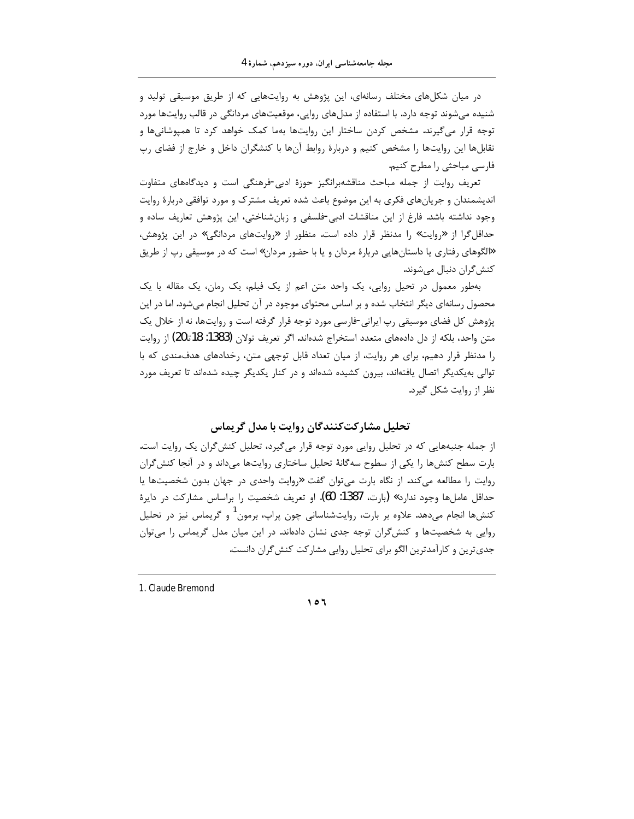در میان شکلهای مختلف رسانهای، این پژوهش به روایتهایی که از طریق موسیقی تولید و شنیده میشوند توجه دارد. با استفاده از مدلهای روایی، موقعیتهای مردانگی در قالب روایتها مورد توجه قرار می گیرند. مشخص کردن ساختار این روایتها بهما کمک خواهد کرد تا همیوشانیها و تقابلها این روایتها را مشخص کنیم و دربارهٔ روابط آنها با کنشگران داخل و خارج از فضای رپ فارسی مباحثی را مطرح کنیم.

تعریف روایت از جمله مباحث مناقشهبرانگیز حوزهٔ ادبی-فرهنگی است و دیدگاههای متفاوت اندیشمندان و جریانهای فکری به این موضوع باعث شده تعریف مشترک و مورد توافقی دربارهٔ روایت وجود نداشته باشد. فارغ از این مناقشات ادبی-فلسفی و زبانشناختی، این پژوهش تعاریف ساده و حداقل گرا از «روایت» را مدنظر قرار داده است. منظور از «روایتهای مردانگی» در این پژوهش، «الگوهای رفتاری یا داستانهایی دربارهٔ مردان و یا با حضور مردان» است که در موسیقی رپ از طریق کنش گران دنبال مے شوند.

بهطور معمول در تحیل روایی، یک واحد متن اعم از یک فیلم، یک رمان، یک مقاله یا یک محصول رسانهای دیگر انتخاب شده و بر اساس محتوای موجود در آن تحلیل انجام میشود. اما در این پژوهش کل فضای موسیقی رپ ایرانی-فارسی مورد توجه قرار گرفته است و روایتها، نه از خلال یک متن واحد، بلكه از دل دادههای متعدد استخراج شدهاند. اگر تعریف تولان (1383: 18تا20) از روایت را مدنظر قرار دهیم، برای هر روایت، از میان تعداد قابل توجهی متن، رخدادهای هدف مندی که با توالی به یکدیگر اتصال یافتهاند، بیرون کشیده شدهاند و در کنار یکدیگر چیده شدهاند تا تعریف مورد نظر از روایت شکل گیرد.

# تحلیل مشارکتکنندگان روایت با مدل گریماس

از جمله جنبههایی که در تحلیل روایی مورد توجه قرار میگیرد، تحلیل کنشگران یک روایت است. بارت سطح کنشها را یکی از سطوح سهگانهٔ تحلیل ساختاری روایتها میداند و در آنجا کنش گران روایت را مطالعه می کند. از نگاه بارت می توان گفت «روایت واحدی در جهان بدون شخصیتها یا حداقل عاملها وجود ندارد» (بارت، 1387: 60). او تعريف شخصيت را براساس مشاركت در دايرة کنشها انجام میدهد. علاوه بر بارت، روایتشناسانی چون پراپ، برمون<sup>ا</sup> و گریماس نیز در تحلیل روایی به شخصیتها و کنش گران توجه جدی نشان دادهاند. در این میان مدل گریماس را می توان جدی ترین و کارآمدترین الگو برای تحلیل روایی مشارکت کنش گران دانست.

1. Claude Bremond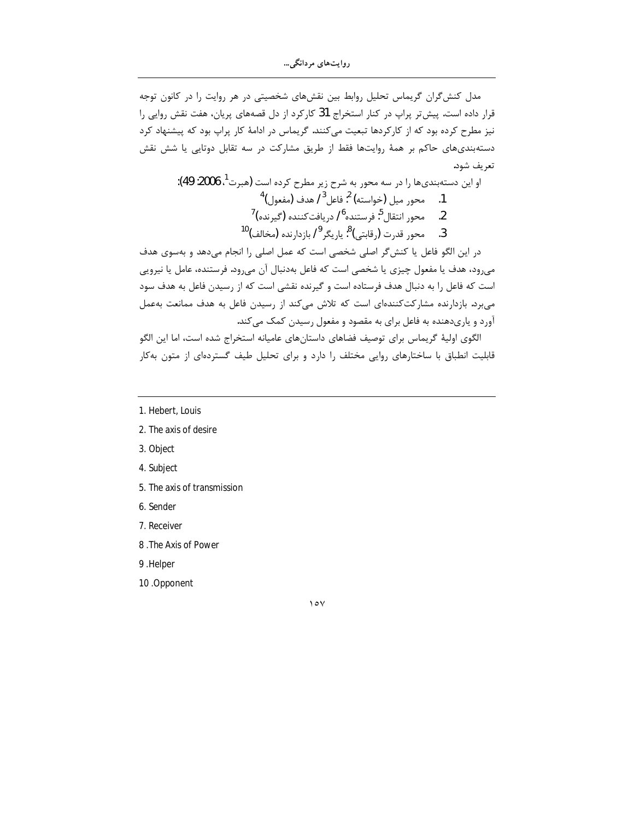مدل کنش گران گریماس تحلیل روابط بین نقشهای شخصیتی در هر روایت را در کانون توجه قرار داده است. پیش تر پراپ در کنار استخراج 31 کارکرد از دل قصههای پریان، هفت نقش روایی را نیز مطرح کرده بود که از کارکردها تبعیت میکنند. گریماس در ادامهٔ کار پراپ بود که پیشنهاد کرد دستهبندیهای حاکم بر همهٔ روایتها فقط از طریق مشارکت در سه تقابل دوتایی یا شش نقش تعريف شود.

او این دستهبندیها را در سه محور به شرح زیر مطرح کرده است (هبرت<sup>1</sup>، 2006: 49): 1. محور ميل (خواسته) <sup>2</sup>: فاعل<sup>3</sup> / هدف (مفعول)<sup>4</sup> در این الگو فاعل یا کنش گر اصلی شخصی است که عمل اصلی را انجام میدهد و بهسوی هدف

میرود، هدف یا مفعول چیزی یا شخصی است که فاعل بهدنبال آن میرود. فرستنده، عامل یا نیرویی است که فاعل را به دنبال هدف فرستاده است و گیرنده نقشی است که از رسیدن فاعل به هدف سود می برد. بازدارنده مشارکتکنندهای است که تلاش میکند از رسیدن فاعل به هدف ممانعت بهعمل آورد و یاریدهنده به فاعل برای به مقصود و مفعول رسیدن کمک می کند.

الگوی اولیهٔ گریماس برای توصیف فضاهای داستانهای عامیانه استخراج شده است، اما این الگو قابلیت انطباق با ساختارهای روایی مختلف را دارد و برای تحلیل طیف گستردهای از متون بهکار

- 1. Hebert, Louis
- 2. The axis of desire
- 3. Object
- 4. Subject
- 5. The axis of transmission
- 6. Sender
- 7. Receiver
- 8. The Axis of Power
- 9. Helper
- 10.Opponent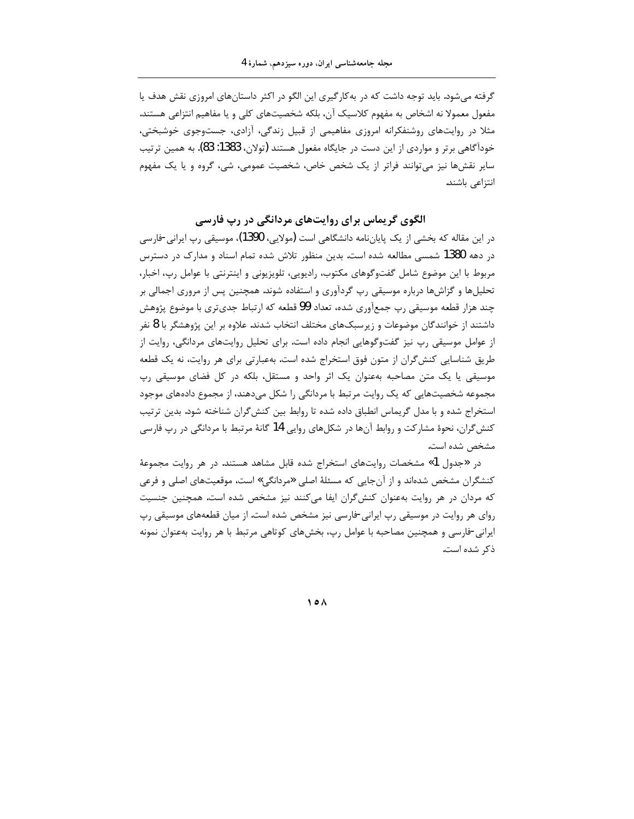گرفته می شود. باید توجه داشت که در بهکارگیری این الگو در اکثر داستانهای امروزی نقش هدف یا مفعول معمولا نه اشخاص به مفهوم كلاسيك آن، بلكه شخصيتهاى كلى و يا مفاهيم انتزاعى هستند. مثلا در روایتهای روشنفکرانه امروزی مفاهیمی از قبیل زندگی، آزادی، جستوجوی خوشبختی، خودآگاهی برتر و مواردی از این دست در جایگاه مفعول هستند (تولان، 1383: 83). به همین ترتیب سایر نقشها نیز می توانند فراتر از یک شخص خاص، شخصیت عمومی، شی، گروه و یا یک مفهوم انتزاعی باشند.

## الگوی گریماس برای روایتهای مردانگی در رپ فارسی

در این مقاله که بخشی از یک پایاننامه دانشگاهی است (مولایی، 1390)، موسیقی رپ ایرانی-فارسی در دهه 1380 شمسی مطالعه شده است. بدین منظور تلاش شده تمام اسناد و مدارک در دسترس مربوط با این موضوع شامل گفتوگوهای مکتوب، رادیویی، تلویزیونی و اینترنتی با عوامل رپ، اخبار، تحلیلها و گزاشها درباره موسیقی رپ گردآوری و استفاده شوند. همچنین پس از مروری اجمالی بر چند هزار قطعه موسیقی رپ جمعآوری شده، تعداد 99 قطعه که ارتباط جدیتری با موضوع پژوهش داشتند از خوانندگان موضوعات و زیرسبکهای مختلف انتخاب شدند. علاوه بر این پژوهشگر با 8 نفر از عوامل موسیقی رپ نیز گفتوگوهایی انجام داده است. برای تحلیل روایتهای مردانگی، روایت از طریق شناسایی کنش گران از متون فوق استخراج شده است. بهعبارتی برای هر روایت، نه یک قطعه موسیقی یا یک متن مصاحبه بهعنوان یک اثر واحد و مستقل، بلکه در کل فضای موسیقی رپ مجموعه شخصیتهایی که یک روایت مرتبط با مردانگی را شکل میدهند، از مجموع دادههای موجود استخراج شده و با مدل گریماس انطباق داده شده تا روابط بین کنش گران شناخته شود. بدین ترتیب کنش گران، نحوهٔ مشارکت و روابط آنها در شکلهای روایی 14 گانهٔ مرتبط با مردانگی در رپ فارسی مشخص شده است.

در «جدول 1» مشخصات روایتهای استخراج شده قابل مشاهد هستند. در هر روایت مجموعهٔ کنشگران مشخص شدهاند و از آنجایی که مسئلهٔ اصلی «مردانگی» است، موقعیتهای اصلی و فرعی كه مردان در هر روايت بهعنوان كنش گران ايفا مى كنند نيز مشخص شده است. همچنين جنسيت روای هر روایت در موسیقی رپ ایرانی-فارسی نیز مشخص شده است. از میان قطعههای موسیقی رپ ایرانی-فارسی و همچنین مصاحبه با عوامل رپ، بخشهای کوتاهی مرتبط با هر روایت بهعنوان نمونه ذكر شده است.

 $\lambda \circ \lambda$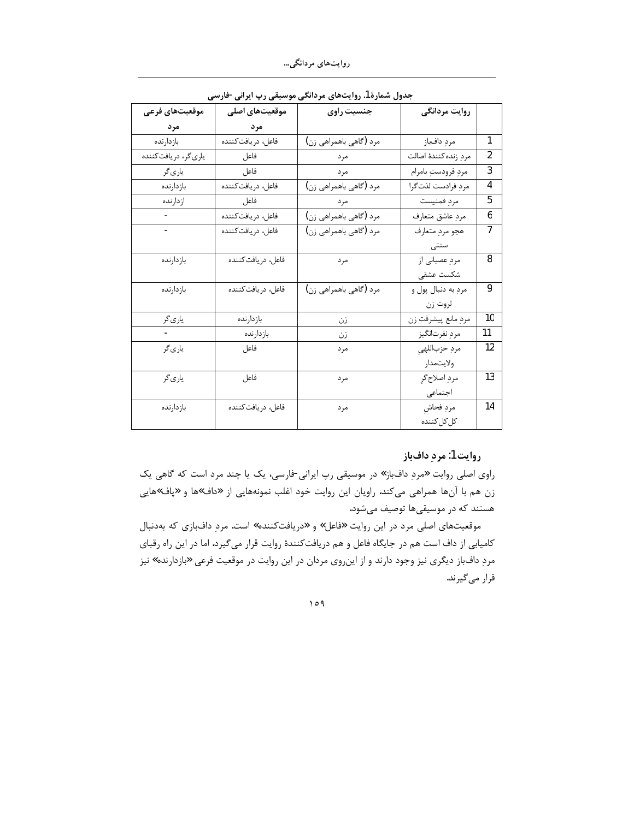روایتهای مردانگی…

| بخون سدر ۱۰۰ روپیچامی مرد ادعی موسیقی رپ پیرانی تحریسی |                    |                        |                      |    |
|--------------------------------------------------------|--------------------|------------------------|----------------------|----|
| موقعیتهای فرعی                                         | موقعیتهای اصلی     | جنسیت راوی             | روايت مردانگي        |    |
| مرد                                                    | مرد                |                        |                      |    |
| بازدارنده                                              | فاعل، دريافت كننده | مرد (گاهي باهمراهي زن) | مردِ دافباز          | 1  |
| ياري گر، دريافت كننده                                  | فاعل               | مر د                   | مرد زنده كنندة اصالت | 2  |
| ياري گر                                                | فاعل               | مرد                    | مردِ فرودستِ بامرام  | 3  |
| بازدارنده                                              | فاعل، دريافت كننده | مرد (گاهي باهمراهي زن) | مردِ فرادست لذت گرا  | 4  |
| ازدارنده                                               | فاعل               | مرد                    | مردِ فمنيست          | 5  |
|                                                        | فاعل، دريافت كننده | مرد (گاهي باهمراهي زن) | مردِ عاشق متعارف     | 6  |
|                                                        | فاعل، دريافت كننده | مرد (گاهي باهمراهي زن) | هجو مردِ متعارف      | 7  |
|                                                        |                    |                        | سنتى                 |    |
| بازدارنده                                              | فاعل، دريافت كننده | مرد                    | مردِ عصبانی از       | 8  |
|                                                        |                    |                        | شكست عشقى            |    |
| بازدارنده                                              | فاعل، دريافت كننده | مرد (گاهي باهمراهي زن) | مردِ به دنبال پول و  | 9  |
|                                                        |                    |                        | ثروت زن              |    |
| يارى گر                                                | بازدارنده          | زن                     | مردِ مانع پيشرفت زن  | 10 |
|                                                        | بازدارنده          | زن                     | مردِ نفرت نگيز       | 11 |
| ياري گر                                                | فاعل               | مرد                    | مردِ حزباللهي        | 12 |
|                                                        |                    |                        | ولايتمدار            |    |
| ياري گر                                                | فاعل               | مرد                    | مردِ اصلاح گر        | 13 |
|                                                        |                    |                        | اجتماعى              |    |
| بازدارنده                                              | فاعل، دريافت كننده | مرد                    | مردِ فحاش            | 14 |
|                                                        |                    |                        | كل كننده             |    |

حدول شمارهٔ 1. روایتهای مردانگیر موسیقی رب ایرانی -فارسه

# روايت 1: مردِ دافباز

راوی اصلی روایت «مردِ دافباز» در موسیقی رپ ایرانی-فارسی، یک یا چند مرد است که گاهی یک زن هم با آنها همراهی میکند. راویان این روایت خود اغلب نمونههایی از «داف»ها و «پاف»هایی هستند که در موسیقیها توصیف میشود.

موقعیتهای اصلی مرد در این روایت «فاعل» و «دریافتکننده» است. مردِ دافبازی که بهدنبال کامیابی از داف است هم در جایگاه فاعل و هم دریافتکنندهٔ روایت قرار میگیرد. اما در این راه رقبای مردِ دافباز دیگری نیز وجود دارند و از اینروی مردان در این روایت در موقعیت فرعی «بازدارنده» نیز قرار ميگيرند.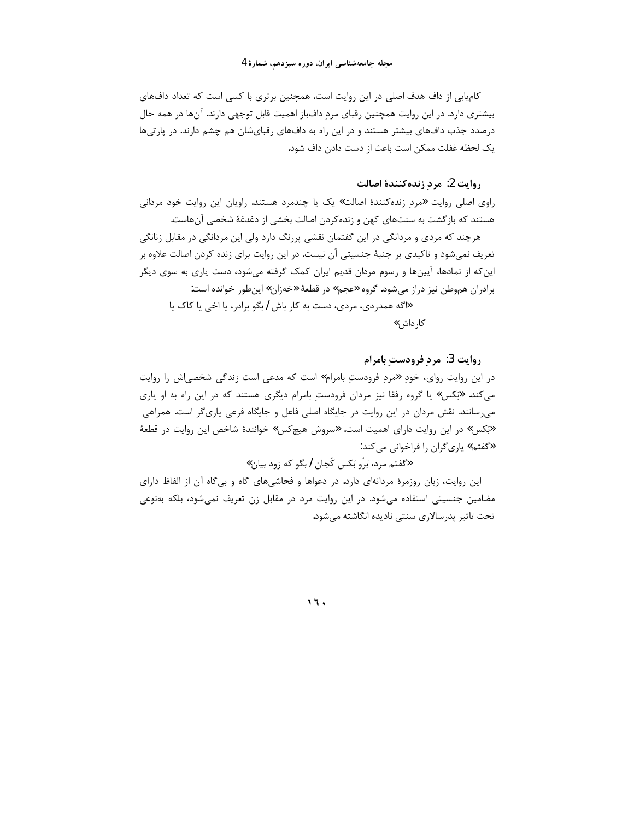کام یابی از داف هدف اصلی در این روایت است. همچنین برتری با کسی است که تعداد دافهای بیشتری دارد. در این روایت همچنین رقبای مردِ دافباز اهمیت قابل توجهی دارند. آنها در همه حال درصدد جذب دافهای بیشتر هستند و در این راه به دافهای رقبایشان هم چشم دارند. در پارتیها يک لحظه غفلت ممكن است باعث از دست دادن داف شود.

#### روايت 2: مرد زنده كنندة اصالت

راوی اصلی روایت «مردِ زندهکنندهٔ اصالت» یک یا چندمرد هستند. راویان این روایت خود مردانی هستند که بازگشت به سنتهای کهن و زندهکردن اصالت بخشی از دغدغهٔ شخصی آنهاست.

هرچند که مردی و مردانگی در این گفتمان نقشی پررنگ دارد ولی این مردانگی در مقابل زنانگی تعریف نمیشود و تاکیدی بر جنبهٔ جنسیتی آن نیست. در این روایت برای زنده کردن اصالت علاوه بر این که از نمادها، آیینها و رسوم مردان قدیم ایران کمک گرفته میشود، دست یاری به سوی دیگر برادران هموطن نیز دراز میشود. گروه «عجم» در قطعهٔ «خهزان» اینطور خوانده است:

«اگه همدردی، مردی، دست به کار باش **/** بگو برادر، یا اخی یا کاک یا کا<sub>ر</sub> داش»

روايت 3: مردِ فرودستِ بامرام

در این روایت روای، خودِ «مردِ فرودستِ بامرام» است که مدعی است زندگی شخصی|ش را روایت می کند. «بکس» یا گروه رفقا نیز مردان فرودست بامرام دیگری هستند که در این راه به او پاری میرسانند. نقش مردان در این روایت در جایگاه اصلی فاعل و جایگاه فرعی پاریگر است. همراهی «بَكس» در اين روايت داراي اهميت است. «سروش هيچكس» خوانندهٔ شاخص اين روايت در قطعهٔ «گفتم» یاریگران را فراخوانی می کند:

«گفتم مرد، بَرُو بَكس كُجان / بگو كه زود بيان»

این روایت، زبان روزمرهٔ مردانهای دارد. در دعواها و فحاشیهای گاه و بی گاه آن از الفاظ دارای مضامین جنسیتی استفاده میشود. در این روایت مرد در مقابل زن تعریف نمیشود، بلکه بهنوعی تحت تاثیر پدرسالاری سنتی نادیده انگاشته میشود.

 $15.$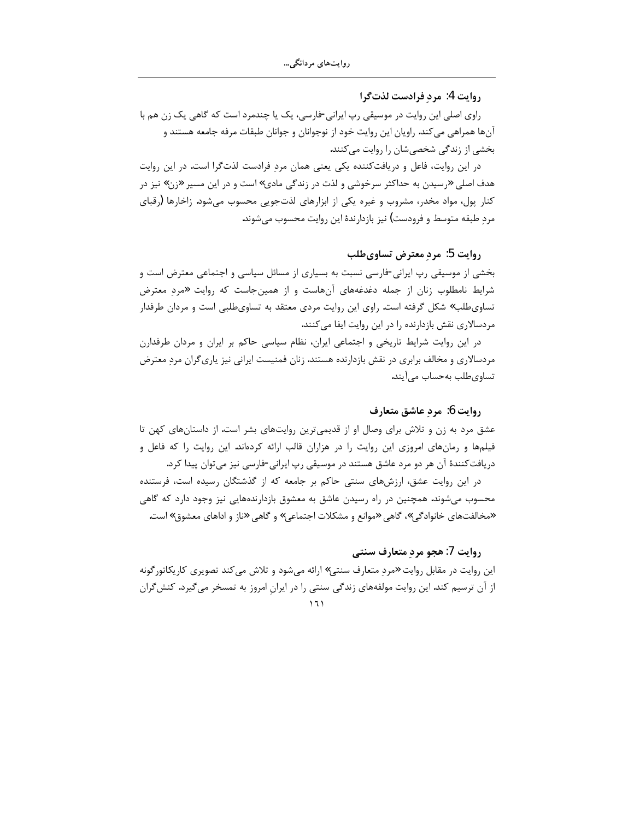## روايت 4: مرد فرادست لذت گرا

راوی اصلی این روایت در موسیقی رپ ایرانی -فارسی، یک یا چندمرد است که گاهی یک زن هم با آنها همراهی می کند. راویان این روایت خود از نوجوانان و جوانان طبقات مرفه جامعه هستند و بخشی از زندگی شخصی شان را روایت می کنند.

در این روایت، فاعل و دریافتکننده یکی یعنی همان مرد فرادست لذت گرا است. در این روایت هدف اصلی «رسیدن به حداکثر سرخوشی و لذت در زندگی مادی» است و در این مسیر «زن» نیز در کنار پول، مواد مخدر، مشروب و غیره یکی از ابزارهای لذتجویی محسوب میشود. زاخارها (رقبای مرد طبقه متوسط و فرودست) نیز بازدارندهٔ این روایت محسوب می شوند.

#### روايت 5: مرد معترض تساوىطلب

بخشی از موسیقی رپ ایرانی-فارسی نسبت به بسیاری از مسائل سیاسی و اجتماعی معترض است و شرایط نامطلوب زنان از جمله دغدغههای آنهاست و از همینجاست که روایت «مرد معترض تساوی طلب» شکل گرفته است. راوی این روایت مردی معتقد به تساوی طلبی است و مردان طرفدار مردسالاری نقش بازدارنده را در این روایت ایفا می کنند.

در این روایت شرایط تاریخی و اجتماعی ایران، نظام سیاسی حاکم بر ایران و مردان طرفدارن مردسالاری و مخالف برابری در نقش بازدارنده هستند. زنان فمنیست ایرانی نیز پاری گران مرد معترض تساوى طلب به حساب مى آيند.

#### روايت 6: مرد عاشق متعارف

عشق مرد به زن و تلاش برای وصال او از قدیمیترین روایتهای بشر است. از داستانهای کهن تا فیلمها و رمانهای امروزی این روایت را در هزاران قالب ارائه کردهاند. این روایت را که فاعل و دریافت کنندهٔ آن هر دو مرد عاشق هستند در موسیقی رپ ایرانی-فارسی نیز میتوان پیدا کرد.

در این روایت عشق، ارزشهای سنتی حاکم بر جامعه که از گذشتگان رسیده است، فرستنده محسوب میشوند. همچنین در راه رسیدن عاشق به معشوق بازدارندههایی نیز وجود دارد که گاهی «مخالفتهاي خانوادگي»، گاهي «موانع و مشكلات اجتماعي» و گاهي «ناز و اداهاي معشوق» است.

# روايت 7: هجو مرد متعارف سنتي

این روایت در مقابل روایت «مرد متعارف سنتی» ارائه می شود و تلاش می کند تصویری کاریکاتور گونه از آن ترسیم کند. این روایت مولفههای زندگی سنتی را در ایران امروز به تمسخر میگیرد. کنشگران  $171$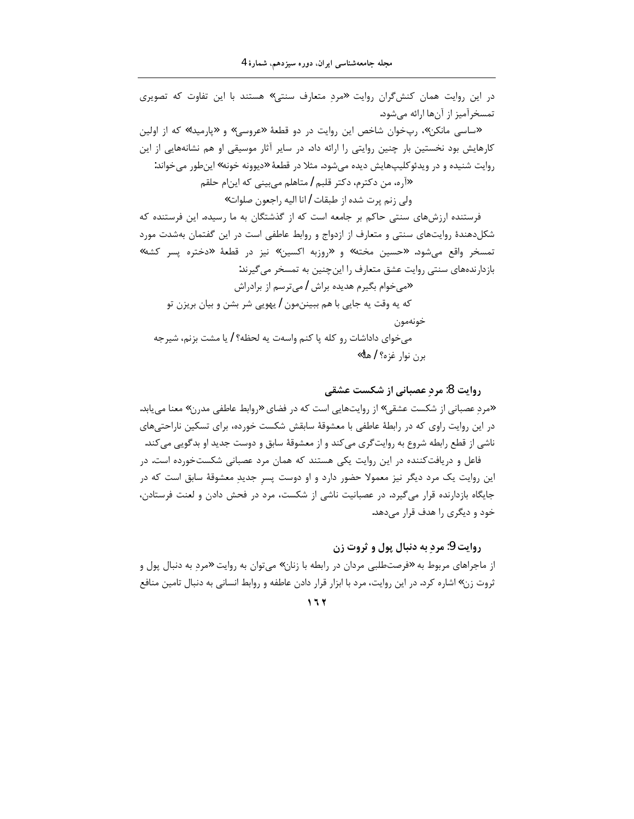در این روایت همان کنش گران روایت «مرد متعارف سنتی» هستند با این تفاوت که تصویری تمسخرآمیز از آنها ارائه میشود.

«ساسی مانکن»، رپخوان شاخص این روایت در دو قطعهٔ «عروسی» و «پارمیدا» که از اولین کارهایش بود نخستین بار چنین روایتی را ارائه داد. در سایر آثار موسیقی او هم نشانههایی از این روايت شنيده و در ويدئوكليپهايش ديده مي شود. مثلا در قطعهٔ «ديوونه خونه» اين طور مي خواند:

«آره، من دکترم، دکتر قلبم **/** متاهلم میبینی که اینام حلقم

ولي زنم يرت شده از طبقات l انا اليه راجعون صلوات»

فرستنده ارزشهای سنتی حاکم بر جامعه است که از گذشتگان به ما رسیده. این فرستنده که شکل دهندهٔ روایتهای سنتی و متعارف از ازدواج و روابط عاطفی است در این گفتمان بهشدت مورد تمسخر واقع میشود. «حسین مخته» و «روزبه اکسین» نیز در قطعهٔ «دختره پسر کشه» بازدارندههای سنتی روایت عشق متعارف را اینچنین به تمسخر میگیرند: «میخوام بگیرم هدیده براش **/** میترسم از برادراش

که یه وقت یه جایی با هم ببیننمون / یهویی شر بشن و بیان بریزن تو خونەمون میخوای داداشات رو کله پا کنم واسهت یه لحظه؟ / یا مشت بزنم، شیرجه برن نوار غزه؟ **/** ها!»

روایت 8: مرد عصبانی از شکست عشقی «مردِ عصباني از شكست عشقي» از روايتهايي است كه در فضاي «روابط عاطفي مدرن» معنا مييابد. در این روایت راوی که در رابطهٔ عاطفی با معشوقهٔ سابقش شکست خورده، برای تسکین ناراحتیهای ناشی از قطع رابطه شروع به روایتگری میکند و از معشوقهٔ سابق و دوست جدید او بدگویی میکند. فاعل و دریافتکننده در این روایت یکی هستند که همان مرد عصبانی شکستخورده است. در این روایت یک مرد دیگر نیز معمولا حضور دارد و او دوست پسر جدید معشوقهٔ سابق است که در جایگاه بازدارنده قرار می گیرد. در عصبانیت ناشی از شکست، مرد در فحش دادن و لعنت فرستادن، خود و دیگری را هدف قرار مے دهد.

## روايت 9: مرد به دنبال يول و ثروت زن

از ماجراهای مربوط به «فرصت طلبی مردان در رابطه با زنان» می توان به روایت «مردِ به دنبال پول و ثروت زن» اشاره کرد. در این روایت، مرد با ابزار قرار دادن عاطفه و روابط انسانی به دنبال تامین منافع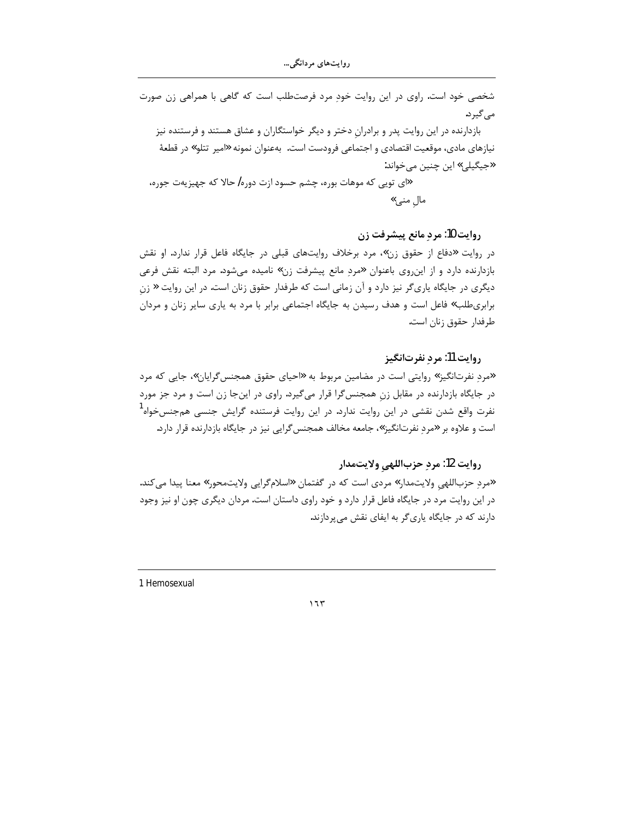روایتهای مردانگی…

شخصی خود است. راوی در این روایت خودِ مرد فرصتطلب است که گاهی با همراهی زن صورت می گیرد.

بازدارنده در این روایت پدر و برادران دختر و دیگر خواستگاران و عشاق هستند و فرستنده نیز نیازهای مادی، موقعیت اقتصادی و اجتماعی فرودست است. بهعنوان نمونه «امیر تتلو» در قطعهٔ «جيگيلي» اين چنين مي خواند:

«ای تویی که موهات بوره، چشم حسود ازت دوره/ حالا که جهیزیهت جوره، مال مني»

روايت 10: مردِ مانع پيشرفت زن

در روایت «دفاع از حقوق زن»، مرد برخلاف روایتهای قبلی در جایگاه فاعل قرار ندارد. او نقش بازدارنده دارد و از این روی باعنوان «مردِ مانع پیشرفت زن» نامیده میشود. مرد البته نقش فرعی دیگری در جایگاه پاریگر نیز دارد و آن زمانی است که طرفدار حقوق زنان است. در این روایت « زن برابریطلب» فاعل است و هدف رسیدن به جایگاه اجتماعی برابر با مرد به پاری سایر زنان و مردان طرفدار حقوق زنان است.

روايت 11: مرد نفرتانگيز

«مردِ نفرتانگیز» روایتی است در مضامین مربوط به «احیای حقوق همجنس گرایان»، جایی که مرد در جایگاه بازدارنده در مقابل زن همجنس گرا قرار میگیرد. راوی در اینجا زن است و مرد جز مورد نفرت واقع شدن نقشی در این روایت ندارد. در این روایت فرستنده گرایش جنسی همجنسخواه<sup>1</sup> است و علاوه بر «مرد نفرتانگیز»، جامعه مخالف همجنس گرایی نیز در جایگاه بازدارنده قرار دارد.

## روايت 12: مردِ حزباللهي ولايتمدار

«مردِ حزباللهي ولايتمدار» مردي است كه در گفتمان «اسلامگرايي ولايتمحور» معنا پيدا مي كند. در این روایت مرد در جایگاه فاعل قرار دارد و خود راوی داستان است. مردان دیگری چون او نیز وجود دارند که در جایگاه پاریگر به ایفای نقش می پردازند.

1 Hemosexual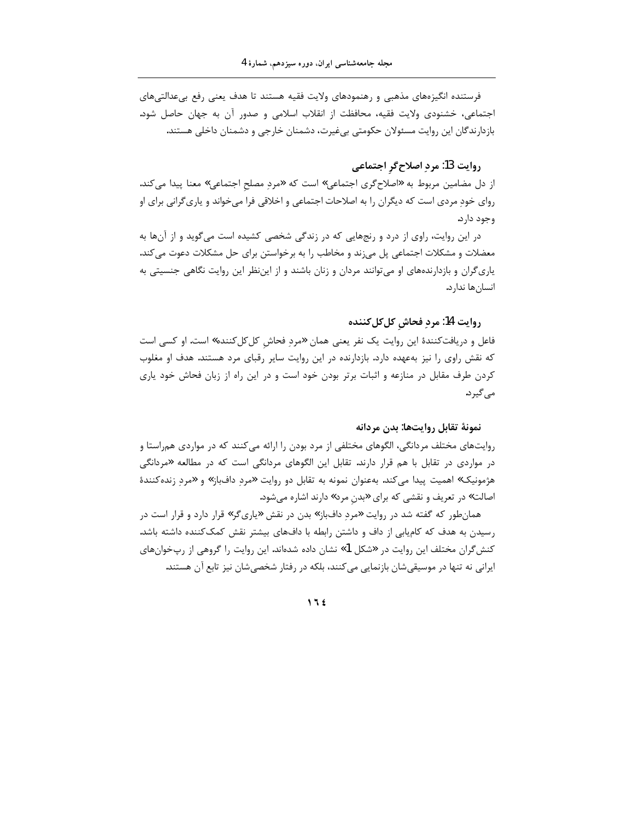فرستنده انگیزههای مذهبی و رهنمودهای ولایت فقیه هستند تا هدف یعنی رفع بیعدالتیهای اجتماعی، خشنودی ولایت فقیه، محافظت از انقلاب اسلامی و صدور آن به جهان حاصل شود. بازدارندگان این روایت مسئولان حکومتی بی غیرت، دشمنان خارجی و دشمنان داخلی هستند.

## روايت 13: مرد اصلاح گر اجتماعي

از دل مضامین مربوط به «اصلاح گری اجتماعی» است که «مردِ مصلح اجتماعی» معنا پیدا میکند. روای خود مردی است که دیگران را به اصلاحات اجتماعی و اخلاقی فرا میخواند و پاری گرانی برای او وجود دارد.

در این روایت، راوی از درد و رنجهایی که در زندگی شخصی کشیده است میگوید و از آنها به معضلات و مشکلات اجتماعی پل می;ند و مخاطب را به برخواستن برای حل مشکلات دعوت می کند. یاریگران و بازدارندههای او میتوانند مردان و زنان باشند و از ایننظر این روایت نگاهی جنسیتی به انسان ها ندارد.

#### روايت 14: مردِ فحاش كلكلكننده

فاعل و دریافتکنندهٔ این روایت یک نفر یعنی همان «مردِ فحاش کل کل *کنن*ده» است. او کسی است که نقش راوی را نیز بهعهده دارد. بازدارنده در این روایت سایر رقبای مرد هستند. هدف او مغلوب کردن طرف مقابل در منازعه و اثبات برتر بودن خود است و در این راه از زبان فحاش خود پاری مى گيرد.

#### نمونهٔ تقابل روایتها: بدن مردانه

روایتهای مختلف مردانگی، الگوهای مختلفی از مرد بودن را ارائه می کنند که در مواردی همراستا و در مواردی در تقابل با هم قرار دارند. تقابل این الگوهای مردانگی است که در مطالعه «مردانگی هژمونیک» اهمیت پیدا میکند. بهعنوان نمونه به تقابل دو روایت «مردِ دافباز» و «مردِ زندهکنندهٔ اصالت» در تعریف و نقشی که برای «بدن مرد» دارند اشاره میشود.

همانطور که گفته شد در روایت «مرد دافباز» بدن در نقش «یاریگر» قرار دارد و قرار است در رسیدن به هدف که کامیابی از داف و داشتن رابطه با دافهای بیشتر نقش کمککننده داشته باشد. کنش گران مختلف این روایت در «شکل 1» نشان داده شدهاند. این روایت را گروهی از رپخوانهای ایرانی نه تنها در موسیقی شان بازنمایی می کنند، بلکه در رفتار شخصی شان نیز تابع آن هستند.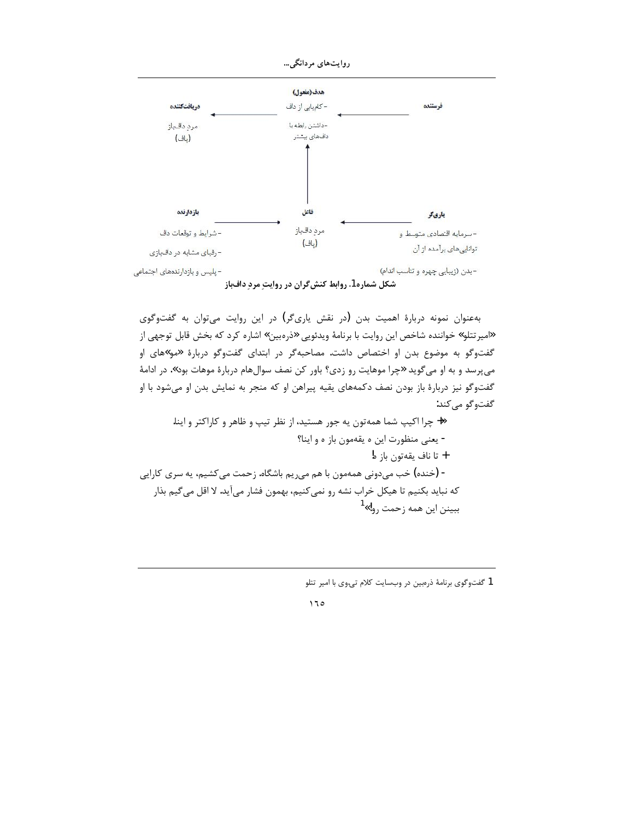



بهعنوان نمونه دربارهٔ اهمیت بدن (در نقش یاریگر) در این روایت میتوان به گفتوگوی «امیرتتلو» خواننده شاخص این روایت با برنامهٔ ویدئویی «ذرهبین» اشاره کرد که بخش قابل توجهی از گفتوگو به موضوع بدن او اختصاص داشت. مصاحبهگر در ابتدای گفتوگو دربارهٔ «مو»های او می پرسد و به او میگوید «چرا موهایت رو زدی؟ باور کن نصف سوالهام دربارهٔ موهات بود». در ادامهٔ گفتوگو نیز دربارهٔ باز بودن نصف دکمههای یقیه پیراهن او که منجر به نمایش بدن او میشود با او گفتوگو می کند:

«+ چرا اکیپ شما همهتون یه جور هستید، از نظر تیپ و ظاهر و کاراکتر و اینا. - يعني منظورت اين ه يقهمون باز ه و اينا؟ + تا ناف يقەتون باز ه! - (خنده) خب میدونی همهمون با هم می٫یم باشگاه. زحمت میکشیم، یه سری کارایی كه نبايد بكنيم تا هيكل خراب نشه رو نمي كنيم، بهمون فشار مي آيد. لا اقل مي گيم بذار ببينن اين همه زحمت رول<sup>ه1</sup>

<sup>1</sup> گفتوگوی برنامهٔ ذرمبین در وبسایت کلام تی.وی با امیر تتلو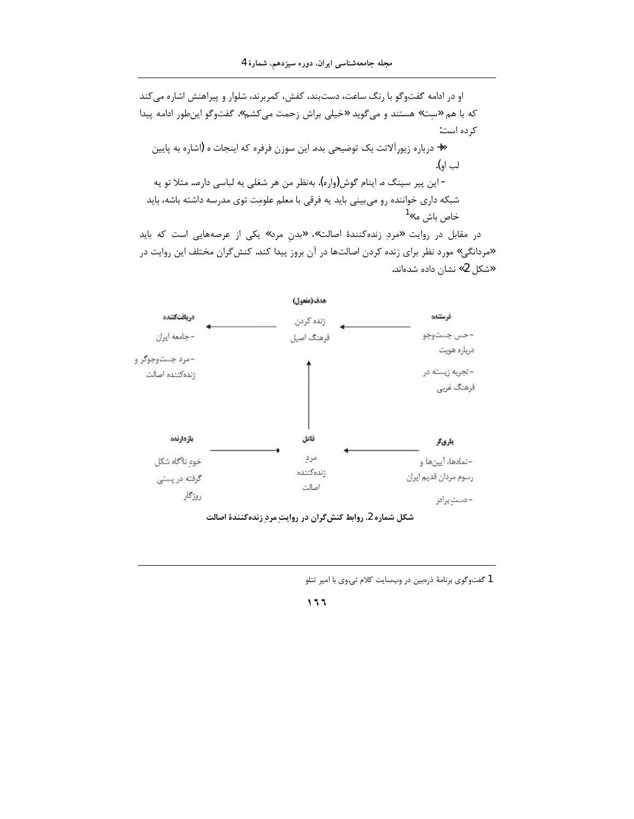او در ادامه گفتوگو با رنگ ساعت، دستبند، کفش، کمربرند، شلوار و پیراهنش اشاره می کند

كه با هم «سِت» هستند و مي گويد «خيلي براش زحمت مي كشم». گفتوگو اينطور ادامه پيدا کرده است: «+ درباره زیورآلاتت یک توضیحی بده. این سوزن فرفره که اینجات ه (اشاره به پایین لب او). - اين پير سينگ ه. اينام گوش(واره). بهنظر من هر شغلي په لباسي داره… مثلا تو په شبکه داری خواننده رو می بینی باید یه فرقی با معلم علومت توی مدرسه داشته باشه، باید خاص باش ه.»<sup>1</sup>

در مقابل در روایت «مردِ زندهکنندهٔ اصالت»، «بدن مرد» یکی از عرصههایی است که باید «مردانگی» مورد نظر برای زنده کردن اصالتها در آن بروز پیدا کند. کنش *گ*ران مختلف این روایت در «شكل 2» نشان داده شدهاند.



شکل شماره 2. روابط کنش گران در روایت مرد زنده کنندهٔ اصالت

1 گفتوگوی برنامهٔ ذرەبین در وبسایت کلام تی.وی با امیر تتلو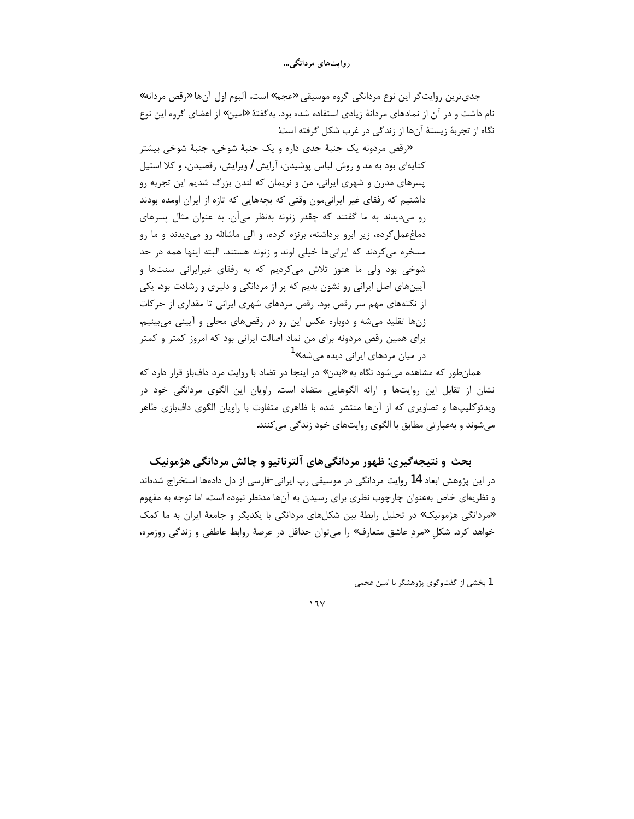جديترين روايت\$ر اين نوع مردانگي گروه موسيقي «عجم» است. آلبوم اول آنها «رقص مردانه» نام داشت و در آن از نمادهای مردانهٔ زیادی استفاده شده بود. بهگفتهٔ «امین» از اعضای گروه این نوع نگاه از تجربهٔ زیستهٔ آنها از زندگی در غرب شکل گرفته است:

«رقص مردونه یک جنبهٔ جدی داره و یک جنبهٔ شوخی. جنبهٔ شوخی بیشتر كنايهاي بود به مد و روش لباس پوشيدن، آرايش / ويرايش، رقصيدن، و كلا استيل پسرهای مدرن و شهری ایرانی. من و نریمان که لندن بزرگ شدیم این تجربه رو داشتیم که رفقای غیر ایرانیمون وقتی که بچههایی که تازه از ایران اومده بودند رو می دیدند به ما گفتند که چقدر زنونه بهنظر میآن. به عنوان مثال پسرهای دماغعملکرده، زیر ابرو برداشته، برنزه کرده، و الی ماشالله رو میدیدند و ما رو مسخره می کردند که ایرانیها خیلی لوند و زنونه هستند. البته اینها همه در حد شوخی بود ولی ما هنوز تلاش میکردیم که به رفقای غیرایرانی سنتها و آیینهای اصل ایرانی رو نشون بدیم که پر از مردانگی و دلیری و رشادت بود. یکی از نکتههای مهم سر رقص بود. رقص مردهای شهری ایرانی تا مقداری از حرکات زنها تقلید میشه و دوباره عکس این رو در رقصهای محلی و آیینی میبینیم. برای همین رقص مردونه برای من نماد اصالت ایرانی بود که امروز کمتر و کمتر در میان مردهای ایرانی دیده میشه.»<sup>ا</sup>

همانطور که مشاهده می شود نگاه به «بدن» در اینجا در تضاد با روایت مرد دافباز قرار دارد که نشان از تقابل این روایتها و ارائه الگوهایی متضاد است. راویان این الگوی مردانگی خود در ویدئوکلیپها و تصاویری که از آنها منتشر شده با ظاهری متفاوت با راویان الگوی دافبازی ظاهر مي شوند و بهعبارتي مطابق با الگوي روايتهاي خود زندگي مي كنند.

# بحث و نتيجهگيري: ظهور مردانگي هاي آلترناتيو و چالش مردانگي هژمونيک

در این پژوهش ابعاد 14 روایت مردانگی در موسیقی رپ ایرانی-فارسی از دل دادهها استخراج شدهاند و نظریهای خاص بهعنوان چارچوب نظری برای رسیدن به آنها مدنظر نبوده است. اما توجه به مفهوم «مردانگی هژمونیک» در تحلیل رابطهٔ بین شکلهای مردانگی با یکدیگر و جامعهٔ ایران به ما کمک خواهد کرد. شکل «مرد عاشق متعارف» را می¤وان حداقل در عرصهٔ روابط عاطفی و زندگی روزمره،

1 بخشی از گفتوگوی پژوهشگر با امین عجمی

 $17<sub>V</sub>$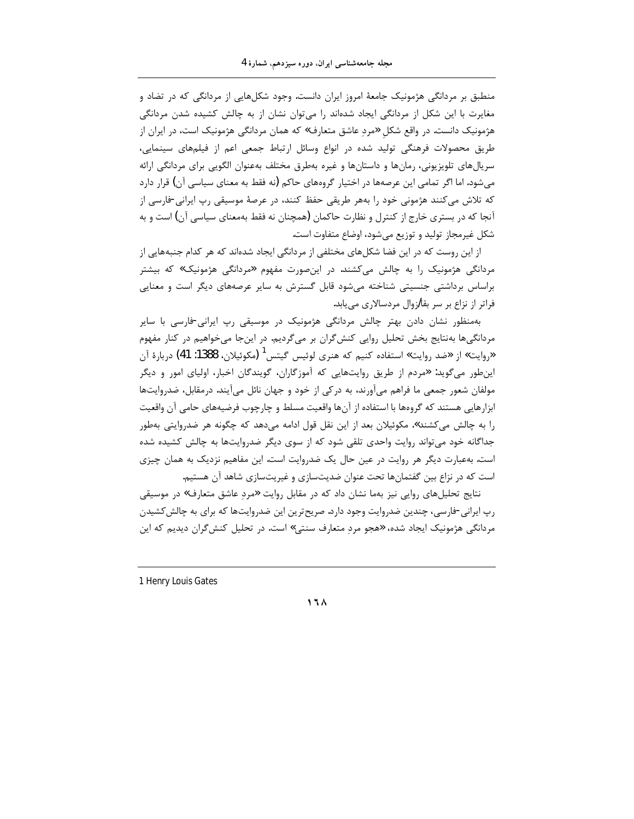منطبق بر مردانگی هژمونیک جامعهٔ امروز ایران دانست. وجود شکلهایی از مردانگی که در تضاد و مغایرت با این شکل از مردانگی ایجاد شدهاند را میتوان نشان از به چالش کشیده شدن مردانگی هژمونیک دانست. در واقع شکل «مردِ عاشق متعارف» که همان مردانگی هژمونیک است، در ایران از طریق محصولات فرهنگی تولید شده در انواع وسائل ارتباط جمعی اعم از فیلمهای سینمایی، سریالهای تلویزیونی، رمانها و داستانها و غیره بهطرق مختلف بهعنوان الگویی برای مردانگی ارائه میشود. اما اگر تمامی این عرصهها در اختیار گروههای حاکم (نه فقط به معنای سیاسی آن) قرار دارد که تلاش می کنند هژمونی خود را بههر طریقی حفظ کنند، در عرصهٔ موسیقی رپ ایرانی-فارسی از آنجا که در بستری خارج از کنترل و نظارت حاکمان (همچنان نه فقط بهمعنای سیاسی آن) است و به شکل غیرمجاز تولید و توزیع میشود، اوضاع متفاوت است.

از این روست که در این فضا شکلهای مختلفی از مردانگی ایجاد شدهاند که هر کدام جنبههایی از مردانگی هژمونیک را به چالش میکشند. در اینصورت مفهوم «مردانگی هژمونیک» که بیشتر براساس برداشتی جنسیتی شناخته می شود قابل گسترش به سایر عرصههای دیگر است و معنایی فراتر از نزاع بر سر بقا/زوال مردسالاری می یابد.

بهمنظور نشان دادن بهتر چالش مردانگی هژمونیک در موسیقی رپ ایرانی-فارسی با سایر مردانگیها بهنتایج بخش تحلیل روایی کنش گران بر میگردیم. در اینجا میخواهیم در کنار مفهوم «روايت» از «ضد روايت» استفاده كنيم كه هنري لوئيس گيتس<sup>1</sup> (مكوئيلان، 1388: 41) دربارهٔ آن این طور می گوید: «مردم از طریق روایتهایی که آموزگاران، گویندگان اخبار، اولیای امور و دیگر مولفان شعور جمعی ما فراهم میآورند، به درکی از خود و جهان نائل میآیند. درمقابل، ضدروایتها ابزارهایی هستند که گروهها با استفاده از آنها واقعیت مسلط و چارچوب فرضیههای حامی آن واقعیت را به چالش می *ک*شند». مکوئیلان بعد از این نقل قول ادامه می دهد که چگونه هر ضدروایتی بهطور جداگانه خود میتواند روایت واحدی تلقی شود که از سوی دیگر ضدروایتها به چالش کشیده شده است. بهعبارت دیگر هر روایت در عین حال یک ضدروایت است. این مفاهیم نزدیک به همان چیزی است که در نزاع بین گفتمانها تحت عنوان ضدیتسازی و غیریتسازی شاهد آن هستیم.

نتایج تحلیلهای روایی نیز بهما نشان داد که در مقابل روایت «مرد عاشق متعارف» در موسیقی رپ ایرانی-فارسی، چندین ضدروایت وجود دارد. صریحترین این ضدروایتها که برای به چالش کشیدن مردانگی هژمونیک ایجاد شده، «هجو مردِ متعارف سنتی» است. در تحلیل کنش گران دیدیم که این

1 Henry Louis Gates

 $17<sub>A</sub>$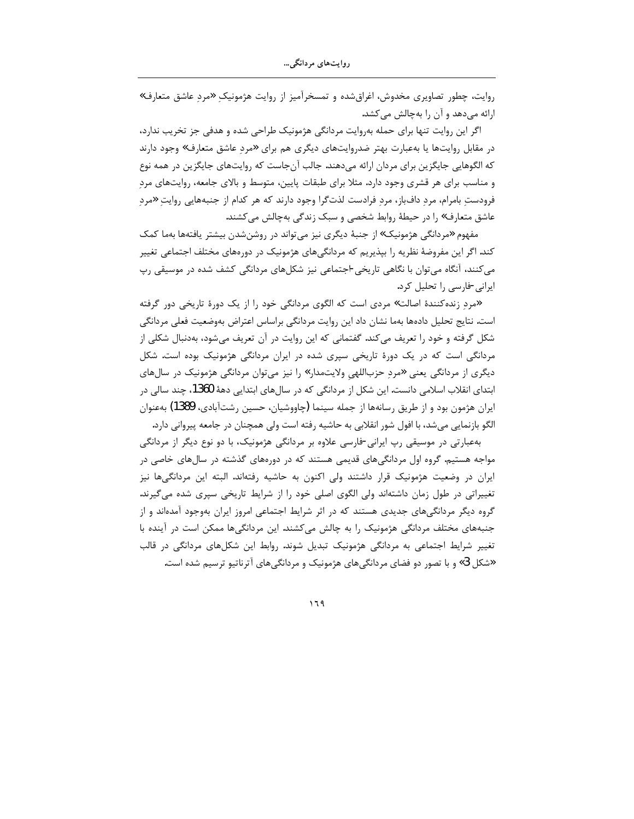روایت، چطور تصاویری مخدوش، اغراق شده و تمسخرآمیز از روایت هژمونیکِ «مردِ عاشق متعارف» ارائه میدهد و آن را بهچالش می کشد.

اگر این روایت تنها برای حمله بهروایت مردانگی هژمونیک طراحی شده و هدفی جز تخریب ندارد، در مقابل روایتها یا بهعبارت بهتر ضدروایتهای دیگری هم برای «مردِ عاشق متعارف» وجود دارند که الگوهایی جایگزین برای مردان ارائه میدهند. جالب آنجاست که روایتهای جایگزین در همه نوع و مناسب برای هر قشری وجود دارد. مثلا برای طبقات پایین، متوسط و بالای جامعه، روایتهای مرد فرودست بامرام، مرد دافباز، مرد فرادست لذت گرا وجود دارند که هر کدام از جنبههایی روایت «مرد عاشق متعارف» را در حیطهٔ روابط شخصی و سبک زندگی بهچالش میکشند.

مفهوم «مردانگی هژمونیک» از جنبهٔ دیگری نیز میتواند در روشنشدن بیشتر یافتهها بهما کمک کند. اگر این مفروضهٔ نظریه را بپذیریم که مردانگیهای هژمونیک در دورههای مختلف اجتماعی تغییر می کنند، آنگاه می توان با نگاهی تاریخی -اجتماعی نیز شکلهای مردانگی کشف شده در موسیقی رپ ایرانی -فارسی را تحلیل کرد.

«مردِ زنده کنندهٔ اصالت» مردی است که الگوی مردانگی خود را از یک دورهٔ تاریخی دور گرفته است. نتايج تحليل دادهها بهما نشان داد اين روايت مردانگي براساس اعتراض بهوضعيت فعلي مردانگي شکل گرفته و خود را تعریف میکند. گفتمانی که این روایت در آن تعریف میشود، بهدنبال شکلی از مردانگی است که در یک دورهٔ تاریخی سپری شده در ایران مردانگی هژمونیک بوده است. شکل دیگری از مردانگی یعنی «مرد حزباللهی ولایتمدار» را نیز می توان مردانگی هژمونیک در سال های ابتدای انقلاب اسلامی دانست. این شکل از مردانگی که در سالهای ابتدایی دههٔ 1360، چند سالی در ایران هژمون بود و از طریق رسانهها از جمله سینما (چاووشیان، حسین رشتآبادی، 1389) بهعنوان الگو بازنمایی می شد، با افول شور انقلابی به حاشیه رفته است ولی همچنان در جامعه پیروانی دارد.

بهعبارتی در موسیقی رپ ایرانی-فارسی علاوه بر مردانگی هژمونیک، با دو نوع دیگر از مردانگی مواجه هستیم. گروه اول مردانگیهای قدیمی هستند که در دورههای گذشته در سالهای خاصی در ایران در وضعیت هژمونیک قرار داشتند ولی اکنون به حاشیه رفتهاند. البته این مردانگیها نیز تغییراتی در طول زمان داشتهاند ولی الگوی اصلی خود را از شرایط تاریخی سپری شده میگیرند. گروه دیگر مردانگیهای جدیدی هستند که در اثر شرایط اجتماعی امروز ایران بهوجود آمدهاند و از جنبههای مختلف مردانگی هژمونیک را به چالش میکشند. این مردانگیها ممکن است در آینده با تغییر شرایط اجتماعی به مردانگی هژمونیک تبدیل شوند. روابط این شکلهای مردانگی در قالب «شکل 3» و با تصور دو فضای مردانگیهای هژمونیک و مردانگیهای آترناتیو ترسیم شده است.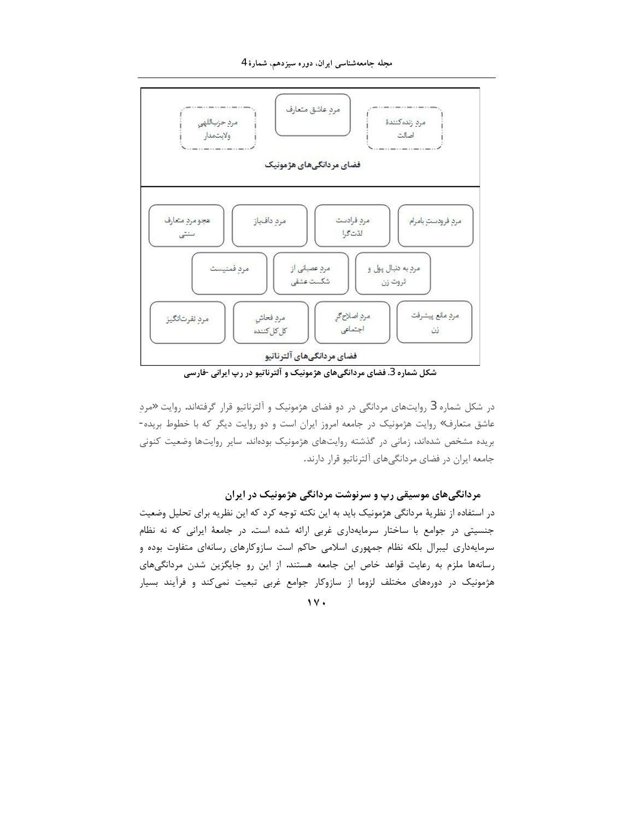

شکل شماره 3. فضای مردانگیهای هژمونیک و آلترناتیو در رپ ایرانی -فارسی

در شکل شماره 3 روایتهای مردانگی در دو فضای هژمونیک و آلترناتیو قرار گرفتهاند. روایت «مرد عاشق متعارف» روایت هژمونیک در جامعه امروز ایران است و دو روایت دیگر که با خطوط بریده-بریده مشخص شدهاند، زمانی در گذشته روایتهای هژمونیک بودهاند. سایر روایتها وضعیت کنونی جامعه ایران در فضای مردانگیهای آلترناتیو قرار دارند.

# مردانگیهای موسیقی رپ و سرنوشت مردانگی هژمونیک در ایران

در استفاده از نظریهٔ مردانگی هژمونیک باید به این نکته توجه کرد که این نظریه برای تحلیل وضعیت جنسیتی در جوامع با ساختار سرمایهداری غربی ارائه شده است. در جامعهٔ ایرانی که نه نظام سرمایهداری لیبرال بلکه نظام جمهوری اسلامی حاکم است سازوکارهای رسانهای متفاوت بوده و رسانهها ملزم به رعایت قواعد خاص این جامعه هستند. از این رو جایگزین شدن مردانگیهای هژمونیک در دورههای مختلف لزوما از سازوکار جوامع غربی تبعیت نمیکند و فرآیند بسیار

 $11.$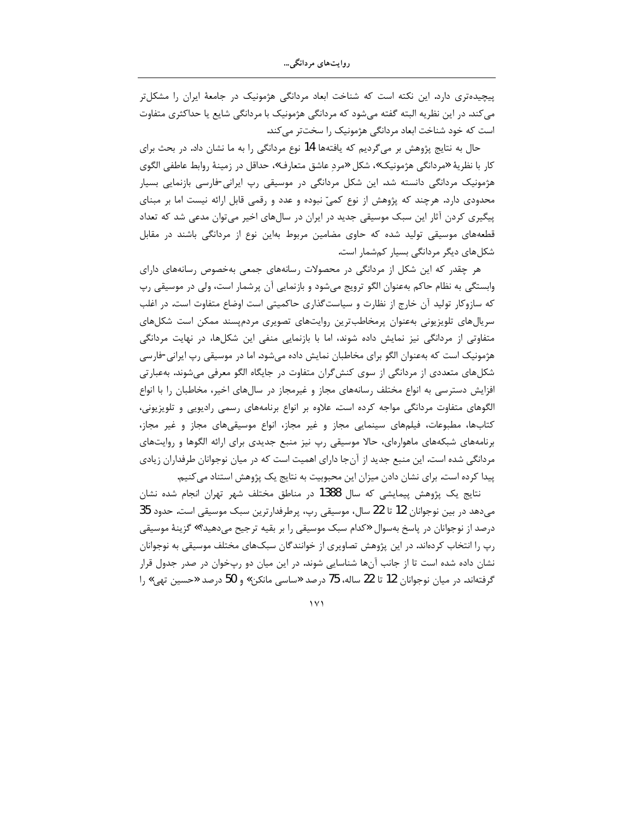پیچیدهتری دارد. این نکته است که شناخت ابعاد مردانگی هژمونیک در جامعهٔ ایران را مشکلتر می کند. در این نظریه البته گفته میشود که مردانگی هژمونیک با مردانگی شایع یا حداکثری متفاوت است که خود شناخت ابعاد مردانگی هژمونیک را سختتر می کند.

حال به نتایج پژوهش بر میگردیم که یافتهها 14 نوع مردانگی را به ما نشان داد. در بحث برای كار با نظريهٔ «مردانگي هژمونيک»، شكل «مرد عاشق متعارف»، حداقل در زمينهٔ روابط عاطفي الگوي هژمونیک مردانگی دانسته شد. این شکل مردانگی در موسیقی رپ ایرانی-فارسی بازنمایی بسیار محدودی دارد. هرچند که پژوهش از نوع کمیّ نبوده و عدد و رقمی قابل ارائه نیست اما بر مبنای پیگیری کردن آثار این سبک موسیقی جدید در ایران در سالهای اخیر میتوان مدعی شد که تعداد قطعههای موسیقی تولید شده که حاوی مضامین مربوط بهاین نوع از مردانگی باشند در مقابل شکلهای دیگر مردانگی بسیار کمشمار است.

هر چقدر که این شکل از مردانگی در محصولات رسانههای جمعی بهخصوص رسانههای دارای وابستگی به نظام حاکم بهعنوان الگو ترویج میشود و بازنمایی آن پرشمار است، ولی در موسیقی رپ که سازوکار تولید آن خارج از نظارت و سیاستگذاری حاکمیتی است اوضاع متفاوت است. در اغلب سریالهای تلویزیونی بهعنوان پرمخاطبترین روایتهای تصویری مردمپسند ممکن است شکلهای متفاوتی از مردانگی نیز نمایش داده شوند، اما با بازنمایی منفی این شکلها، در نهایت مردانگی هژمونیک است که بهعنوان الگو برای مخاطبان نمایش داده میشود. اما در موسیقی رپ ایرانی-فارسی شکلهای متعددی از مردانگی از سوی کنش5ران متفاوت در جایگاه الگو معرفی میشوند. بهعبارتی افزایش دسترسی به انواع مختلف رسانههای مجاز و غیرمجاز در سالهای اخیر، مخاطبان را با انواع الگوهای متفاوت مردانگی مواجه کرده است. علاوه بر انواع برنامههای رسمی رادیویی و تلویزیونی، کتابها، مطبوعات، فیلمهای سینمایی مجاز و غیر مجاز، انواع موسیقیهای مجاز و غیر مجاز، برنامههای شبکههای ماهوارهای، حالا موسیقی رپ نیز منبع جدیدی برای ارائه الگوها و روایتهای مردانگی شده است. این منبع جدید از آنجا دارای اهمیت است که در میان نوجوانان طرفداران زیادی پیدا کرده است. برای نشان دادن میزان این محبوبیت به نتایج یک پژوهش استناد می کنیم.

نتايج يک پژوهش پيمايشي که سال 1388 در مناطق مختلف شهر تهران انجام شده نشان میدهد در بین نوجوانان 12 تا 22 سال، موسیقی رپ، پرطرفدارترین سبک موسیقی است. حدود 35 درصد از نوجوانان در پاسخ بهسوال «کدام سبک موسیقی را بر بقیه ترجیح میدهید؟» گزینهٔ موسیقی رپ را انتخاب کردهاند. در این پژوهش تصاویری از خوانندگان سبکهای مختلف موسیقی به نوجوانان نشان داده شده است تا از جانب آنها شناسایی شوند. در این میان دو رپخوان در صدر جدول قرار گرفتهاند. در میان نوجوانان 12 تا 22 ساله، 75 درصد «ساسی مانکن» و 50 درصد «حسین تهی» را

 $\vee$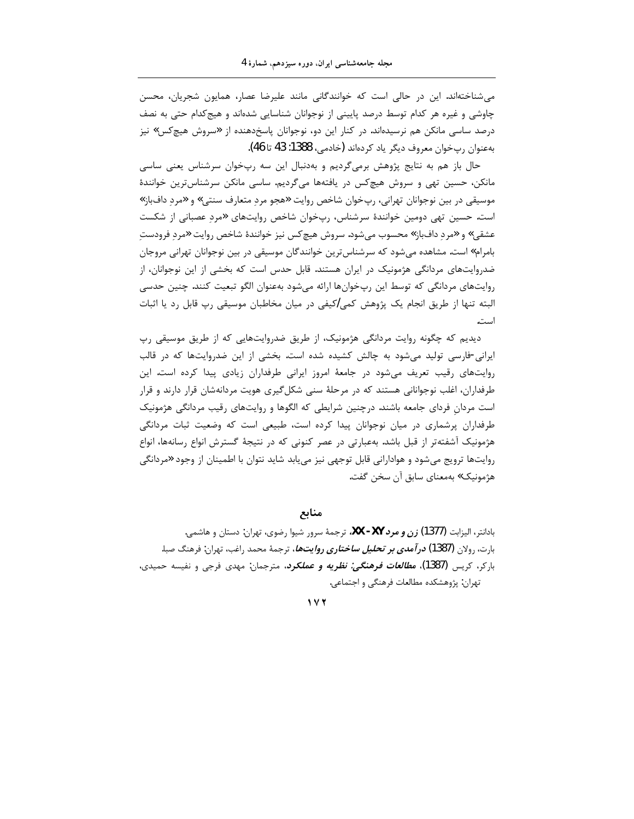می شناختهاند. این در حالی است که خوانندگانی مانند علیرضا عصار، همایون شجریان، محسن چاوشی و غیره هر کدام توسط درصد پایینی از نوجوانان شناسایی شدهاند و هیج کدام حتی به نصف درصد ساسی مانکن هم نرسیدهاند. در کنار این دو، نوجوانان پاسخدهنده از «سروش هیچکس» نیز بهعنوان رپخوان معروف ديگر ياد كردهاند (خادمي، 1388: 43 تا 46).

حال باز هم به نتایج پژوهش برمیگردیم و بهدنبال این سه رپخوان سرشناس یعنی ساسی مانکن، حسین تھی و سروش هیچ کس در یافتهها می گردیم. ساسی مانکن سرشناسترین خوانندهٔ موسیقی در بین نوجوانان تهرانی، رپخوان شاخص روایت «هجو مرد متعارف سنتی» و «مرد دافباز» است. حسین تهی دومین خوانندهٔ سرشناس، رپخوان شاخص روایتهای «مردِ عصبانی از شکست عشقي» و «مردِ دافباز» محسوب ميشود. سروش هيچ كس نيز خوانندهٔ شاخص روايت «مردِ فرودستِ بامرام» است. مشاهده میشود که سرشناس ترین خوانندگان موسیقی در بین نوجوانان تهرانی مروجان ضدروایتهای مردانگی هژمونیک در ایران هستند. قابل حدس است که بخشی از این نوجوانان، از روایتهای مردانگی که توسط این رپخوانها ارائه میشود بهعنوان الگو تبعیت کنند. چنین حدسی البته تنها از طریق انجام یک پژوهش کمی/کیفی در میان مخاطبان موسیقی رپ قابل رد یا اثبات است.

دیدیم که چگونه روایت مردانگی هژمونیک، از طریق ضدروایتهایی که از طریق موسیقی رپ ایرانی-فارسی تولید میشود به چالش کشیده شده است. بخشی از این ضدروایتها که در قالب روایتهای رقیب تعریف میشود در جامعهٔ امروز ایرانی طرفداران زیادی پیدا کرده است. این طرفداران، اغلب نوجوانانی هستند که در مرحلهٔ سنی شکلگیری هویت مردانهشان قرار دارند و قرار است مردان فردای جامعه باشند. درچنین شرایطی که الگوها و روایتهای رقیب مردانگی هژمونیک طرفداران پرشماری در میان نوجوانان پیدا کرده است، طبیعی است که وضعیت ثبات مردانگی هژمونیک آشفته تر از قبل باشد. بهعبارتی در عصر کنونی که در نتیجهٔ گسترش انواع رسانهها، انواع روایتها ترویج میشود و هوادارانی قابل توجهی نیز می یابد شاید نتوان با اطمینان از وجود «مردانگی هژمونیک» بهمعنای سابق آن سخن گفت.

منابع

بادانتر، الیزابت (1377) *زن و مرد XX - XY،* ترجمهٔ سرور شیوا رضوی، تهران: دستان و هاشمی. بارت، رولان **(1387)** *در آمدی بر تحلیل ساختاری روایتها***،** ترجمهٔ محمد راغب، تهران: فرهنگ صبا. بارکر، کریس **(1387)،** *مطالعات فرهنگی: نظریه و عملکرد***،** مترجمان: مهدی فرجی و نفیسه حمیدی، تهران: پژوهشکده مطالعات فرهنگی و اجتماعی.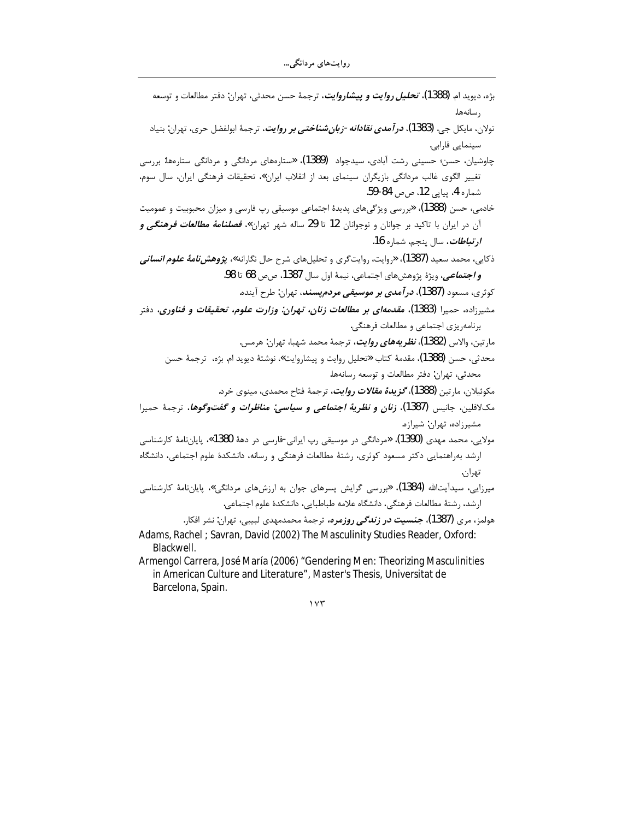| بژه، ديويد ام. <b>(1388)، <i>تحليل روايت و پيشاروايت</i>،</b> ترجمهٔ حسن محدثي، تهران: دفتر مطالعات و توسعه        |
|--------------------------------------------------------------------------------------------------------------------|
| رسانەھا.                                                                                                           |
| تولان، مايكل جي. <b>(1383)، <i>درآمدي نقادانه-زبانشناختي بر روايت</i>،</b> ترجمهٔ ابولفضل حرى، تهران: بنياد        |
| سينمايي فارابي.                                                                                                    |
| چاوشیان، حسن؛ حسینی رشت آبادی، سیدجواد <b>(1389)، «</b> ستارەهای مردانگی و مردانگی ستارەھا: بررسی                  |
| تغییر الگوی غالب مردانگی بازیگران سینمای بعد از انقلاب ایران»، تحقیقات فرهنگی ایران، سال سوم،                      |
| شماره 4، پياپي 12، صص 84-59.                                                                                       |
| خادمی، حسن (1388)، «بررسی ویژگیهای پدیدهٔ اجتماعی موسیقی رپ فارسی و میزان محبوبیت و عمومیت                         |
| آن در ایران با تاکید بر جوانان و نوجوانان 12 تا 29 ساله شهر تهران <b>»، <i>فصلنامهٔ مطالعات فرهنگی و</i></b>       |
| <i>ارتباطات</i> ، سال پنجم، شماره 16.                                                                              |
| ذکایی، محمد سعید (1387)، « <sub>ر</sub> وایت، روایت گری و تحلیلهای شرح حال نگارانه»، <i>پژوهشنامهٔ علوم انسانی</i> |
| <b>و <i>اجتماعی</i>،</b> ویژهٔ پژوهشهای اجتماعی، نیمهٔ اول سال 1387، صص 68 تا 98.                                  |
| كوثري، مسعود <b>(1</b> 387) <b>، <i>درآمدي بر موسيقي مردم پسند</i>،</b> تهران: طرح أينده.                          |
| مشیرزاده، حمیرا (1383)، م <i>قدمهای بر مطالعات زنان، تهران: وزارت علوم، تحقیقات و فناوری</i> ، دفتر                |
| برنامهريزي اجتماعي و مطالعات فرهنگي.                                                                               |
| مارتين، والاس <b>(1382)، <i>نظريههاي روايت</i>،</b> ترجمهٔ محمد شهبا، تهران: هرمس.                                 |
| محدثي، حسن (1388)، مقدمهٔ كتاب «تحليل روايت و پيشاروايت»، نوشتهٔ ديويد ام. بژه،  ترجمهٔ حسن                        |
| محدثي، تهران: دفتر مطالعات و توسعه رسانهها.                                                                        |
| مکوئیلان، مارتین (1388)، <i>گزیدهٔ مقالات روایت</i> ، ترجمهٔ فتاح محمدی، مینوی خرد.                                |
| مکلافلین، جانیس (1387)، <i>زنان و نظریهٔ اجتماعی و سیاسی: مناظرات و گفتوگوها</i> ، ترجمهٔ حمیرا                    |
| مشيرزاده، تهران: شيرازه.                                                                                           |
| مولایی، محمد مهدی (1390)، «مردانگی در موسیقی رپ ایرانی-فارسی در دههٔ 1380»، پایاننامهٔ کارشناسی                    |
| ارشد بهراهنمایی دکتر مسعود کوثری، رشتهٔ مطالعات فرهنگی و رسانه، دانشکدهٔ علوم اجتماعی، دانشگاه                     |
| تهران.                                                                                                             |
| میرزایی، سیدآیتالله (1384). «بررسی گرایش پسرهای جوان به ارزشهای مردانگی»، پایاننامهٔ کارشناسی                      |
| ارشد، رشتهٔ مطالعات فرهنگی، دانشگاه علامه طباطبایی، دانشکدهٔ علوم اجتماعی.                                         |
| هولمز، مرى <b>(1387)، <i>جنسيت در زندگى روزمره،</i></b> ترجمهٔ محمدمهدى لبيبى، تهران: نشر افكار.                   |
| Adams, Rachel ; Savran, David (2002) The Masculinity Studies Reader, Oxford:<br>Blackwell.                         |
| Armengol Carrera, José María (2006) "Gendering Men: Theorizing Masculinities                                       |

in American Culture and Literature", Master's Thesis, Universitat de Barcelona, Spain.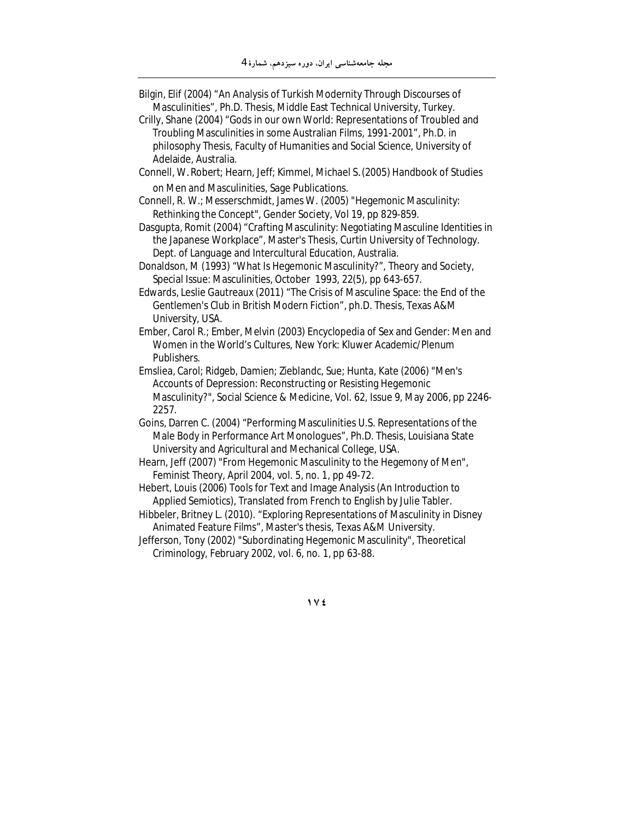Bilgin, Elif (2004) "An Analysis of Turkish Modernity Through Discourses of Masculinities", Ph.D. Thesis, Middle East Technical University, Turkey.

- Crilly, Shane (2004) "Gods in our own World: Representations of Troubled and Troubling Masculinities in some Australian Films, 1991-2001", Ph.D. in philosophy Thesis, Faculty of Humanities and Social Science, University of Adelaide, Australia.
- Connell, W. Robert; Hearn, Jeff; Kimmel, Michael S. (2005) Handbook of Studies on Men and Masculinities, Sage Publications.

Connell, R. W.; Messerschmidt, James W. (2005) "Hegemonic Masculinity: Rethinking the Concept", Gender Society, Vol 19, pp 829-859.

Dasgupta, Romit (2004) "Crafting Masculinity: Negotiating Masculine Identities in the Japanese Workplace", Master's Thesis, Curtin University of Technology. Dept. of Language and Intercultural Education, Australia.

Donaldson, M (1993) "What Is Hegemonic Masculinity?", Theory and Society, Special Issue: Masculinities, October 1993, 22(5), pp 643-657.

Edwards, Leslie Gautreaux (2011) "The Crisis of Masculine Space: the End of the Gentlemen's Club in British Modern Fiction", ph.D. Thesis, Texas A&M University, USA.

Ember, Carol R.; Ember, Melvin (2003) Encyclopedia of Sex and Gender: Men and Women in the World's Cultures, New York: Kluwer Academic/Plenum Publishers.

Emsliea, Carol; Ridgeb, Damien; Zieblandc, Sue; Hunta, Kate (2006) "Men's Accounts of Depression: Reconstructing or Resisting Hegemonic Masculinity?", Social Science & Medicine, Vol. 62, Issue 9, May 2006, pp 2246-2257.

- Goins, Darren C. (2004) "Performing Masculinities U.S. Representations of the Male Body in Performance Art Monologues", Ph.D. Thesis, Louisiana State University and Agricultural and Mechanical College, USA.
- Hearn, Jeff (2007) "From Hegemonic Masculinity to the Hegemony of Men", Feminist Theory, April 2004, vol. 5, no. 1, pp 49-72.
- Hebert, Louis (2006) Tools for Text and Image Analysis (An Introduction to Applied Semiotics), Translated from French to English by Julie Tabler.

Hibbeler, Britney L. (2010). "Exploring Representations of Masculinity in Disney Animated Feature Films", Master's thesis, Texas A&M University.

Jefferson, Tony (2002) "Subordinating Hegemonic Masculinity", Theoretical Criminology, February 2002, vol. 6, no. 1, pp 63-88.